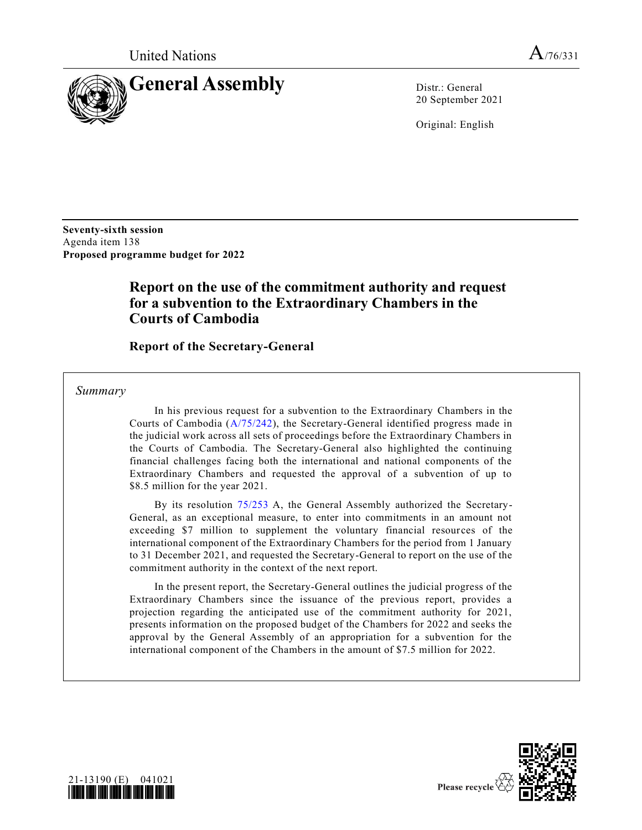

20 September 2021

Original: English

**Seventy-sixth session** Agenda item 138 **Proposed programme budget for 2022**

# **Report on the use of the commitment authority and request for a subvention to the Extraordinary Chambers in the Courts of Cambodia**

**Report of the Secretary-General**

*Summary*

In his previous request for a subvention to the Extraordinary Chambers in the Courts of Cambodia [\(A/75/242\)](https://undocs.org/en/A/75/242), the Secretary-General identified progress made in the judicial work across all sets of proceedings before the Extraordinary Chambers in the Courts of Cambodia. The Secretary-General also highlighted the continuing financial challenges facing both the international and national components of the Extraordinary Chambers and requested the approval of a subvention of up to \$8.5 million for the year 2021.

By its resolution [75/253](https://undocs.org/en/A/RES/75/253) A, the General Assembly authorized the Secretary-General, as an exceptional measure, to enter into commitments in an amount not exceeding \$7 million to supplement the voluntary financial resources of the international component of the Extraordinary Chambers for the period from 1 January to 31 December 2021, and requested the Secretary-General to report on the use of the commitment authority in the context of the next report.

In the present report, the Secretary-General outlines the judicial progress of the Extraordinary Chambers since the issuance of the previous report, provides a projection regarding the anticipated use of the commitment authority for 2021, presents information on the proposed budget of the Chambers for 2022 and seeks the approval by the General Assembly of an appropriation for a subvention for the international component of the Chambers in the amount of \$7.5 million for 2022.



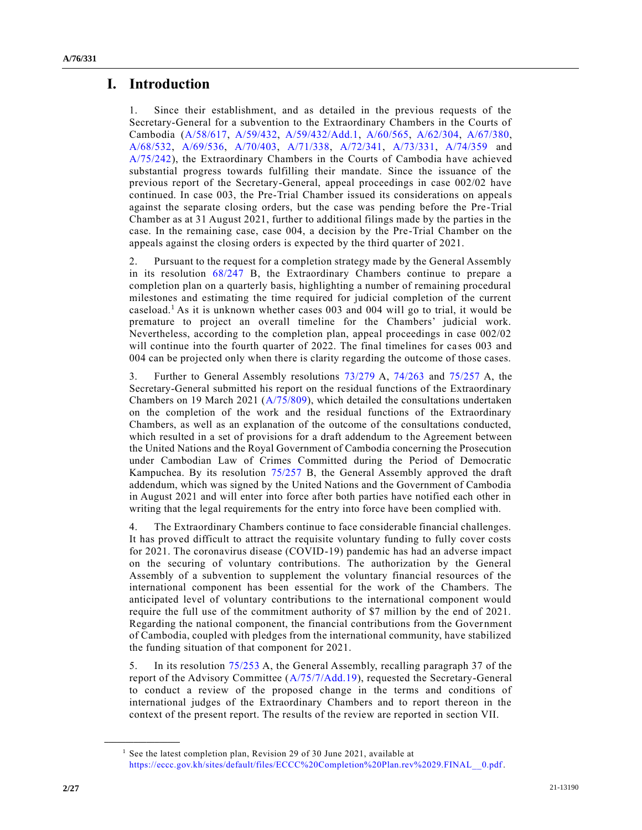# **I. Introduction**

1. Since their establishment, and as detailed in the previous requests of the Secretary-General for a subvention to the Extraordinary Chambers in the Courts of Cambodia [\(A/58/617,](https://undocs.org/en/A/58/617) [A/59/432,](https://undocs.org/en/A/59/432) [A/59/432/Add.1,](https://undocs.org/en/A/59/432/Add.1) [A/60/565,](https://undocs.org/en/A/60/565) [A/62/304,](https://undocs.org/en/A/62/304) [A/67/380,](https://undocs.org/en/A/67/380) [A/68/532,](https://undocs.org/en/A/68/532) [A/69/536,](https://undocs.org/en/A/69/536) [A/70/403,](https://undocs.org/en/A/70/403) [A/71/338,](https://undocs.org/en/A/71/338) [A/72/341,](https://undocs.org/en/A/72/341) [A/73/331,](https://undocs.org/en/A/73/331) [A/74/359](https://undocs.org/en/A/74/359) and [A/75/242\)](https://undocs.org/en/A/75/242), the Extraordinary Chambers in the Courts of Cambodia have achieved substantial progress towards fulfilling their mandate. Since the issuance of the previous report of the Secretary-General, appeal proceedings in case 002/02 have continued. In case 003, the Pre-Trial Chamber issued its considerations on appeals against the separate closing orders, but the case was pending before the Pre-Trial Chamber as at 31 August 2021, further to additional filings made by the parties in the case. In the remaining case, case 004, a decision by the Pre-Trial Chamber on the appeals against the closing orders is expected by the third quarter of 2021.

2. Pursuant to the request for a completion strategy made by the General Assembly in its resolution [68/247](https://undocs.org/en/A/RES/68/247b) B, the Extraordinary Chambers continue to prepare a completion plan on a quarterly basis, highlighting a number of remaining procedural milestones and estimating the time required for judicial completion of the current caseload.<sup>1</sup> As it is unknown whether cases 003 and 004 will go to trial, it would be premature to project an overall timeline for the Chambers' judicial work. Nevertheless, according to the completion plan, appeal proceedings in case 002/02 will continue into the fourth quarter of 2022. The final timelines for cases 003 and 004 can be projected only when there is clarity regarding the outcome of those cases.

3. Further to General Assembly resolutions [73/279](https://undocs.org/en/A/RES/73/279) A, [74/263](https://undocs.org/en/A/RES/74/263) and [75/257](https://undocs.org/en/A/RES/75/257) A, the Secretary-General submitted his report on the residual functions of the Extraordinary Chambers on 19 March 2021 [\(A/75/809\)](https://undocs.org/en/A/75/809), which detailed the consultations undertaken on the completion of the work and the residual functions of the Extraordinary Chambers, as well as an explanation of the outcome of the consultations conducted, which resulted in a set of provisions for a draft addendum to the Agreement between the United Nations and the Royal Government of Cambodia concerning the Prosecution under Cambodian Law of Crimes Committed during the Period of Democratic Kampuchea. By its resolution [75/257](https://undocs.org/en/A/RES/75/257b) B, the General Assembly approved the draft addendum, which was signed by the United Nations and the Government of Cambodia in August 2021 and will enter into force after both parties have notified each other in writing that the legal requirements for the entry into force have been complied with.

4. The Extraordinary Chambers continue to face considerable financial challenges. It has proved difficult to attract the requisite voluntary funding to fully cover costs for 2021. The coronavirus disease (COVID-19) pandemic has had an adverse impact on the securing of voluntary contributions. The authorization by the General Assembly of a subvention to supplement the voluntary financial resources of the international component has been essential for the work of the Chambers. The anticipated level of voluntary contributions to the international component would require the full use of the commitment authority of \$7 million by the end of 2021. Regarding the national component, the financial contributions from the Government of Cambodia, coupled with pledges from the international community, have stabilized the funding situation of that component for 2021.

5. In its resolution [75/253](https://undocs.org/en/A/RES/75/253) A, the General Assembly, recalling paragraph 37 of the report of the Advisory Committee [\(A/75/7/Add.19\)](https://undocs.org/en/A/75/7/Add.19), requested the Secretary-General to conduct a review of the proposed change in the terms and conditions of international judges of the Extraordinary Chambers and to report thereon in the context of the present report. The results of the review are reported in section VII.

**\_\_\_\_\_\_\_\_\_\_\_\_\_\_\_\_\_\_**

<sup>&</sup>lt;sup>1</sup> See the latest completion plan, Revision 29 of 30 June 2021, available at [https://eccc.gov.kh/sites/default/files/ECCC%20Completion%20Plan.rev%2029.FINAL\\_\\_0.pdf.](https://eccc.gov.kh/sites/default/files/ECCC%20Completion%20Plan.rev%2029.FINAL__0.pdf)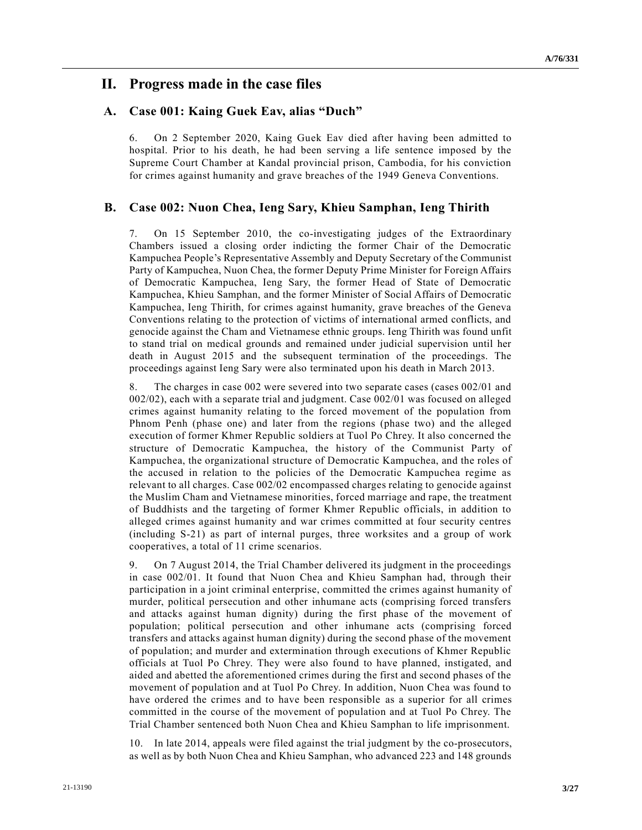## **II. Progress made in the case files**

## **A. Case 001: Kaing Guek Eav, alias "Duch"**

6. On 2 September 2020, Kaing Guek Eav died after having been admitted to hospital. Prior to his death, he had been serving a life sentence imposed by the Supreme Court Chamber at Kandal provincial prison, Cambodia, for his conviction for crimes against humanity and grave breaches of the 1949 Geneva Conventions.

### **B. Case 002: Nuon Chea, Ieng Sary, Khieu Samphan, Ieng Thirith**

7. On 15 September 2010, the co-investigating judges of the Extraordinary Chambers issued a closing order indicting the former Chair of the Democratic Kampuchea People's Representative Assembly and Deputy Secretary of the Communist Party of Kampuchea, Nuon Chea, the former Deputy Prime Minister for Foreign Affairs of Democratic Kampuchea, Ieng Sary, the former Head of State of Democratic Kampuchea, Khieu Samphan, and the former Minister of Social Affairs of Democratic Kampuchea, Ieng Thirith, for crimes against humanity, grave breaches of the Geneva Conventions relating to the protection of victims of international armed conflicts, and genocide against the Cham and Vietnamese ethnic groups. Ieng Thirith was found unfit to stand trial on medical grounds and remained under judicial supervision until her death in August 2015 and the subsequent termination of the proceedings. The proceedings against Ieng Sary were also terminated upon his death in March 2013.

8. The charges in case 002 were severed into two separate cases (cases 002/01 and 002/02), each with a separate trial and judgment. Case 002/01 was focused on alleged crimes against humanity relating to the forced movement of the population from Phnom Penh (phase one) and later from the regions (phase two) and the alleged execution of former Khmer Republic soldiers at Tuol Po Chrey. It also concerned the structure of Democratic Kampuchea, the history of the Communist Party of Kampuchea, the organizational structure of Democratic Kampuchea, and the roles of the accused in relation to the policies of the Democratic Kampuchea regime as relevant to all charges. Case 002/02 encompassed charges relating to genocide against the Muslim Cham and Vietnamese minorities, forced marriage and rape, the treatment of Buddhists and the targeting of former Khmer Republic officials, in addition to alleged crimes against humanity and war crimes committed at four security centres (including S-21) as part of internal purges, three worksites and a group of work cooperatives, a total of 11 crime scenarios.

9. On 7 August 2014, the Trial Chamber delivered its judgment in the proceedings in case 002/01. It found that Nuon Chea and Khieu Samphan had, through their participation in a joint criminal enterprise, committed the crimes against humanity of murder, political persecution and other inhumane acts (comprising forced transfers and attacks against human dignity) during the first phase of the movement of population; political persecution and other inhumane acts (comprising forced transfers and attacks against human dignity) during the second phase of the movement of population; and murder and extermination through executions of Khmer Republic officials at Tuol Po Chrey. They were also found to have planned, instigated, and aided and abetted the aforementioned crimes during the first and second phases of the movement of population and at Tuol Po Chrey. In addition, Nuon Chea was found to have ordered the crimes and to have been responsible as a superior for all crimes committed in the course of the movement of population and at Tuol Po Chrey. The Trial Chamber sentenced both Nuon Chea and Khieu Samphan to life imprisonment.

10. In late 2014, appeals were filed against the trial judgment by the co-prosecutors, as well as by both Nuon Chea and Khieu Samphan, who advanced 223 and 148 grounds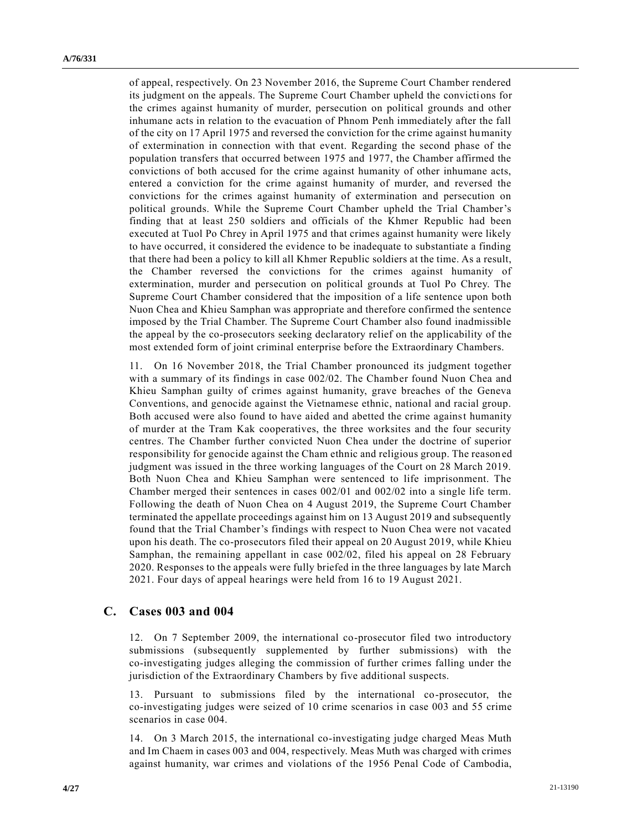of appeal, respectively. On 23 November 2016, the Supreme Court Chamber rendered its judgment on the appeals. The Supreme Court Chamber upheld the convictions for the crimes against humanity of murder, persecution on political grounds and other inhumane acts in relation to the evacuation of Phnom Penh immediately after the fall of the city on 17 April 1975 and reversed the conviction for the crime against humanity of extermination in connection with that event. Regarding the second phase of the population transfers that occurred between 1975 and 1977, the Chamber affirmed the convictions of both accused for the crime against humanity of other inhumane acts, entered a conviction for the crime against humanity of murder, and reversed the convictions for the crimes against humanity of extermination and persecution on political grounds. While the Supreme Court Chamber upheld the Trial Chamber's finding that at least 250 soldiers and officials of the Khmer Republic had been executed at Tuol Po Chrey in April 1975 and that crimes against humanity were likely to have occurred, it considered the evidence to be inadequate to substantiate a finding that there had been a policy to kill all Khmer Republic soldiers at the time. As a result, the Chamber reversed the convictions for the crimes against humanity of extermination, murder and persecution on political grounds at Tuol Po Chrey. The Supreme Court Chamber considered that the imposition of a life sentence upon both Nuon Chea and Khieu Samphan was appropriate and therefore confirmed the sentence imposed by the Trial Chamber. The Supreme Court Chamber also found inadmissible the appeal by the co-prosecutors seeking declaratory relief on the applicability of the most extended form of joint criminal enterprise before the Extraordinary Chambers.

11. On 16 November 2018, the Trial Chamber pronounced its judgment together with a summary of its findings in case 002/02. The Chamber found Nuon Chea and Khieu Samphan guilty of crimes against humanity, grave breaches of the Geneva Conventions, and genocide against the Vietnamese ethnic, national and racial group. Both accused were also found to have aided and abetted the crime against humanity of murder at the Tram Kak cooperatives, the three worksites and the four security centres. The Chamber further convicted Nuon Chea under the doctrine of superior responsibility for genocide against the Cham ethnic and religious group. The reason ed judgment was issued in the three working languages of the Court on 28 March 2019. Both Nuon Chea and Khieu Samphan were sentenced to life imprisonment. The Chamber merged their sentences in cases 002/01 and 002/02 into a single life term. Following the death of Nuon Chea on 4 August 2019, the Supreme Court Chamber terminated the appellate proceedings against him on 13 August 2019 and subsequently found that the Trial Chamber's findings with respect to Nuon Chea were not vacated upon his death. The co-prosecutors filed their appeal on 20 August 2019, while Khieu Samphan, the remaining appellant in case 002/02, filed his appeal on 28 February 2020. Responses to the appeals were fully briefed in the three languages by late March 2021. Four days of appeal hearings were held from 16 to 19 August 2021.

### **C. Cases 003 and 004**

12. On 7 September 2009, the international co-prosecutor filed two introductory submissions (subsequently supplemented by further submissions) with the co-investigating judges alleging the commission of further crimes falling under the jurisdiction of the Extraordinary Chambers by five additional suspects.

13. Pursuant to submissions filed by the international co-prosecutor, the co-investigating judges were seized of 10 crime scenarios in case 003 and 55 crime scenarios in case 004.

14. On 3 March 2015, the international co-investigating judge charged Meas Muth and Im Chaem in cases 003 and 004, respectively. Meas Muth was charged with crimes against humanity, war crimes and violations of the 1956 Penal Code of Cambodia,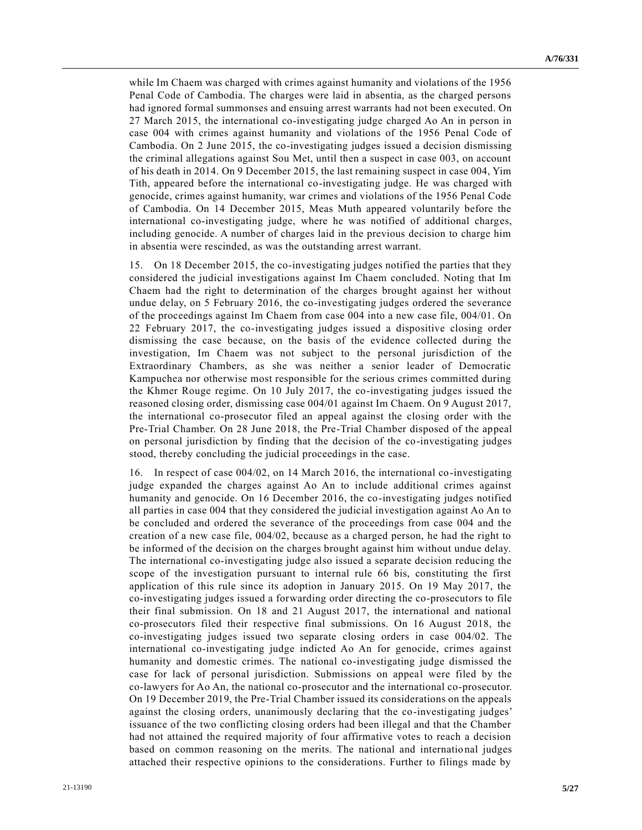while Im Chaem was charged with crimes against humanity and violations of the 1956 Penal Code of Cambodia. The charges were laid in absentia, as the charged persons had ignored formal summonses and ensuing arrest warrants had not been executed. On 27 March 2015, the international co-investigating judge charged Ao An in person in case 004 with crimes against humanity and violations of the 1956 Penal Code of Cambodia. On 2 June 2015, the co-investigating judges issued a decision dismissing the criminal allegations against Sou Met, until then a suspect in case 003, on account of his death in 2014. On 9 December 2015, the last remaining suspect in case 004, Yim Tith, appeared before the international co-investigating judge. He was charged with genocide, crimes against humanity, war crimes and violations of the 1956 Penal Code of Cambodia. On 14 December 2015, Meas Muth appeared voluntarily before the international co-investigating judge, where he was notified of additional charges, including genocide. A number of charges laid in the previous decision to charge him in absentia were rescinded, as was the outstanding arrest warrant.

15. On 18 December 2015, the co-investigating judges notified the parties that they considered the judicial investigations against Im Chaem concluded. Noting that Im Chaem had the right to determination of the charges brought against her without undue delay, on 5 February 2016, the co-investigating judges ordered the severance of the proceedings against Im Chaem from case 004 into a new case file, 004/01. On 22 February 2017, the co-investigating judges issued a dispositive closing order dismissing the case because, on the basis of the evidence collected during the investigation, Im Chaem was not subject to the personal jurisdiction of the Extraordinary Chambers, as she was neither a senior leader of Democratic Kampuchea nor otherwise most responsible for the serious crimes committed during the Khmer Rouge regime. On 10 July 2017, the co-investigating judges issued the reasoned closing order, dismissing case 004/01 against Im Chaem. On 9 August 2017, the international co-prosecutor filed an appeal against the closing order with the Pre-Trial Chamber. On 28 June 2018, the Pre-Trial Chamber disposed of the appeal on personal jurisdiction by finding that the decision of the co-investigating judges stood, thereby concluding the judicial proceedings in the case.

16. In respect of case 004/02, on 14 March 2016, the international co-investigating judge expanded the charges against Ao An to include additional crimes against humanity and genocide. On 16 December 2016, the co-investigating judges notified all parties in case 004 that they considered the judicial investigation against Ao An to be concluded and ordered the severance of the proceedings from case 004 and the creation of a new case file, 004/02, because as a charged person, he had the right to be informed of the decision on the charges brought against him without undue delay. The international co-investigating judge also issued a separate decision reducing the scope of the investigation pursuant to internal rule 66 bis, constituting the first application of this rule since its adoption in January 2015. On 19 May 2017, the co-investigating judges issued a forwarding order directing the co-prosecutors to file their final submission. On 18 and 21 August 2017, the international and national co-prosecutors filed their respective final submissions. On 16 August 2018, the co-investigating judges issued two separate closing orders in case 004/02. The international co-investigating judge indicted Ao An for genocide, crimes against humanity and domestic crimes. The national co-investigating judge dismissed the case for lack of personal jurisdiction. Submissions on appeal were filed by the co-lawyers for Ao An, the national co-prosecutor and the international co-prosecutor. On 19 December 2019, the Pre-Trial Chamber issued its considerations on the appeals against the closing orders, unanimously declaring that the co-investigating judges' issuance of the two conflicting closing orders had been illegal and that the Chamber had not attained the required majority of four affirmative votes to reach a decision based on common reasoning on the merits. The national and international judges attached their respective opinions to the considerations. Further to filings made by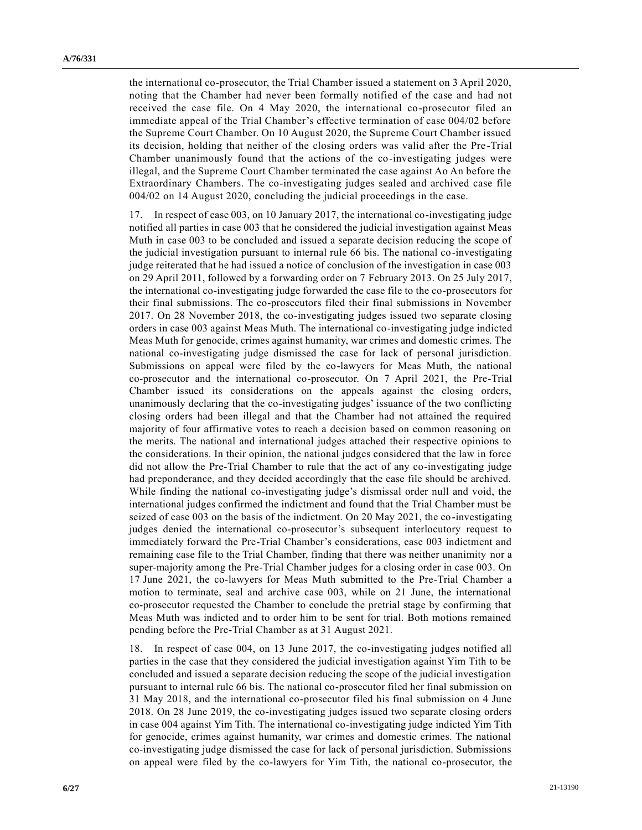the international co-prosecutor, the Trial Chamber issued a statement on 3 April 2020, noting that the Chamber had never been formally notified of the case and had not received the case file. On 4 May 2020, the international co-prosecutor filed an immediate appeal of the Trial Chamber's effective termination of case 004/02 before the Supreme Court Chamber. On 10 August 2020, the Supreme Court Chamber issued its decision, holding that neither of the closing orders was valid after the Pre -Trial Chamber unanimously found that the actions of the co-investigating judges were illegal, and the Supreme Court Chamber terminated the case against Ao An before the Extraordinary Chambers. The co-investigating judges sealed and archived case file 004/02 on 14 August 2020, concluding the judicial proceedings in the case.

17. In respect of case 003, on 10 January 2017, the international co-investigating judge notified all parties in case 003 that he considered the judicial investigation against Meas Muth in case 003 to be concluded and issued a separate decision reducing the scope of the judicial investigation pursuant to internal rule 66 bis. The national co-investigating judge reiterated that he had issued a notice of conclusion of the investigation in case 003 on 29 April 2011, followed by a forwarding order on 7 February 2013. On 25 July 2017, the international co-investigating judge forwarded the case file to the co-prosecutors for their final submissions. The co-prosecutors filed their final submissions in November 2017. On 28 November 2018, the co-investigating judges issued two separate closing orders in case 003 against Meas Muth. The international co-investigating judge indicted Meas Muth for genocide, crimes against humanity, war crimes and domestic crimes. The national co-investigating judge dismissed the case for lack of personal jurisdiction. Submissions on appeal were filed by the co-lawyers for Meas Muth, the national co-prosecutor and the international co-prosecutor. On 7 April 2021, the Pre-Trial Chamber issued its considerations on the appeals against the closing orders, unanimously declaring that the co-investigating judges' issuance of the two conflicting closing orders had been illegal and that the Chamber had not attained the required majority of four affirmative votes to reach a decision based on common reasoning on the merits. The national and international judges attached their respective opinions to the considerations. In their opinion, the national judges considered that the law in force did not allow the Pre-Trial Chamber to rule that the act of any co-investigating judge had preponderance, and they decided accordingly that the case file should be archived. While finding the national co-investigating judge's dismissal order null and void, the international judges confirmed the indictment and found that the Trial Chamber must be seized of case 003 on the basis of the indictment. On 20 May 2021, the co-investigating judges denied the international co-prosecutor's subsequent interlocutory request to immediately forward the Pre-Trial Chamber's considerations, case 003 indictment and remaining case file to the Trial Chamber, finding that there was neither unanimity nor a super-majority among the Pre-Trial Chamber judges for a closing order in case 003. On 17 June 2021, the co-lawyers for Meas Muth submitted to the Pre-Trial Chamber a motion to terminate, seal and archive case 003, while on 21 June, the international co-prosecutor requested the Chamber to conclude the pretrial stage by confirming that Meas Muth was indicted and to order him to be sent for trial. Both motions remained pending before the Pre-Trial Chamber as at 31 August 2021.

18. In respect of case 004, on 13 June 2017, the co-investigating judges notified all parties in the case that they considered the judicial investigation against Yim Tith to be concluded and issued a separate decision reducing the scope of the judicial investigation pursuant to internal rule 66 bis. The national co-prosecutor filed her final submission on 31 May 2018, and the international co-prosecutor filed his final submission on 4 June 2018. On 28 June 2019, the co-investigating judges issued two separate closing orders in case 004 against Yim Tith. The international co-investigating judge indicted Yim Tith for genocide, crimes against humanity, war crimes and domestic crimes. The national co-investigating judge dismissed the case for lack of personal jurisdiction. Submissions on appeal were filed by the co-lawyers for Yim Tith, the national co-prosecutor, the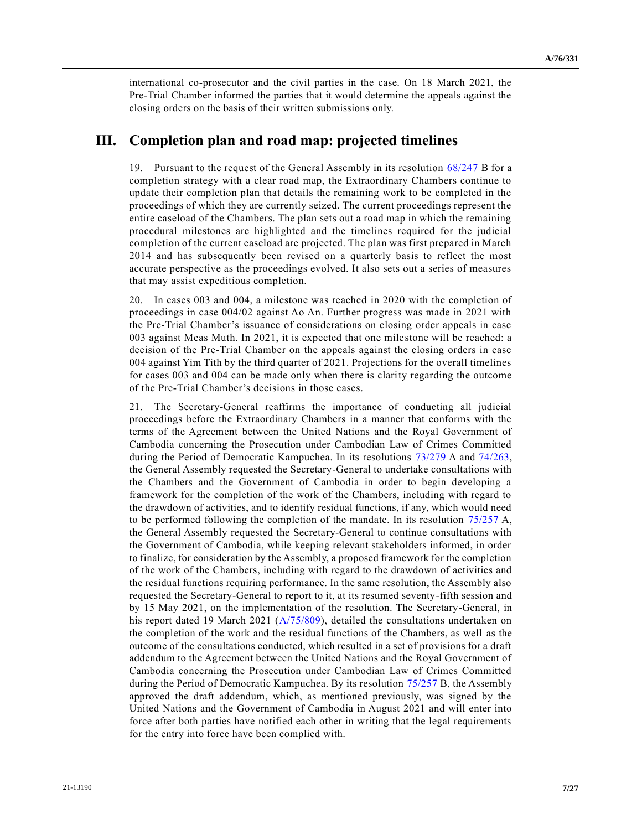international co-prosecutor and the civil parties in the case. On 18 March 2021, the Pre-Trial Chamber informed the parties that it would determine the appeals against the closing orders on the basis of their written submissions only.

## **III. Completion plan and road map: projected timelines**

19. Pursuant to the request of the General Assembly in its resolution [68/247](https://undocs.org/en/A/RES/68/247b) B for a completion strategy with a clear road map, the Extraordinary Chambers continue to update their completion plan that details the remaining work to be completed in the proceedings of which they are currently seized. The current proceedings represent the entire caseload of the Chambers. The plan sets out a road map in which the remaining procedural milestones are highlighted and the timelines required for the judicial completion of the current caseload are projected. The plan was first prepared in March 2014 and has subsequently been revised on a quarterly basis to reflect the most accurate perspective as the proceedings evolved. It also sets out a series of measures that may assist expeditious completion.

20. In cases 003 and 004, a milestone was reached in 2020 with the completion of proceedings in case 004/02 against Ao An. Further progress was made in 2021 with the Pre-Trial Chamber's issuance of considerations on closing order appeals in case 003 against Meas Muth. In 2021, it is expected that one milestone will be reached: a decision of the Pre-Trial Chamber on the appeals against the closing orders in case 004 against Yim Tith by the third quarter of 2021. Projections for the overall timelines for cases 003 and 004 can be made only when there is clarity regarding the outcome of the Pre-Trial Chamber's decisions in those cases.

21. The Secretary-General reaffirms the importance of conducting all judicial proceedings before the Extraordinary Chambers in a manner that conforms with the terms of the Agreement between the United Nations and the Royal Government of Cambodia concerning the Prosecution under Cambodian Law of Crimes Committed during the Period of Democratic Kampuchea. In its resolutions [73/279](https://undocs.org/en/A/RES/73/279) A and [74/263,](https://undocs.org/en/A/RES/74/263) the General Assembly requested the Secretary-General to undertake consultations with the Chambers and the Government of Cambodia in order to begin developing a framework for the completion of the work of the Chambers, including with regard to the drawdown of activities, and to identify residual functions, if any, which would need to be performed following the completion of the mandate. In its resolution [75/257](https://undocs.org/en/A/RES/75/257) A, the General Assembly requested the Secretary-General to continue consultations with the Government of Cambodia, while keeping relevant stakeholders informed, in order to finalize, for consideration by the Assembly, a proposed framework for the completion of the work of the Chambers, including with regard to the drawdown of activities and the residual functions requiring performance. In the same resolution, the Assembly also requested the Secretary-General to report to it, at its resumed seventy-fifth session and by 15 May 2021, on the implementation of the resolution. The Secretary-General, in his report dated 19 March 2021 [\(A/75/809\)](https://undocs.org/en/A/75/809), detailed the consultations undertaken on the completion of the work and the residual functions of the Chambers, as well as the outcome of the consultations conducted, which resulted in a set of provisions for a draft addendum to the Agreement between the United Nations and the Royal Government of Cambodia concerning the Prosecution under Cambodian Law of Crimes Committed during the Period of Democratic Kampuchea. By its resolution [75/257](https://undocs.org/en/A/RES/75/257b) B, the Assembly approved the draft addendum, which, as mentioned previously, was signed by the United Nations and the Government of Cambodia in August 2021 and will enter into force after both parties have notified each other in writing that the legal requirements for the entry into force have been complied with.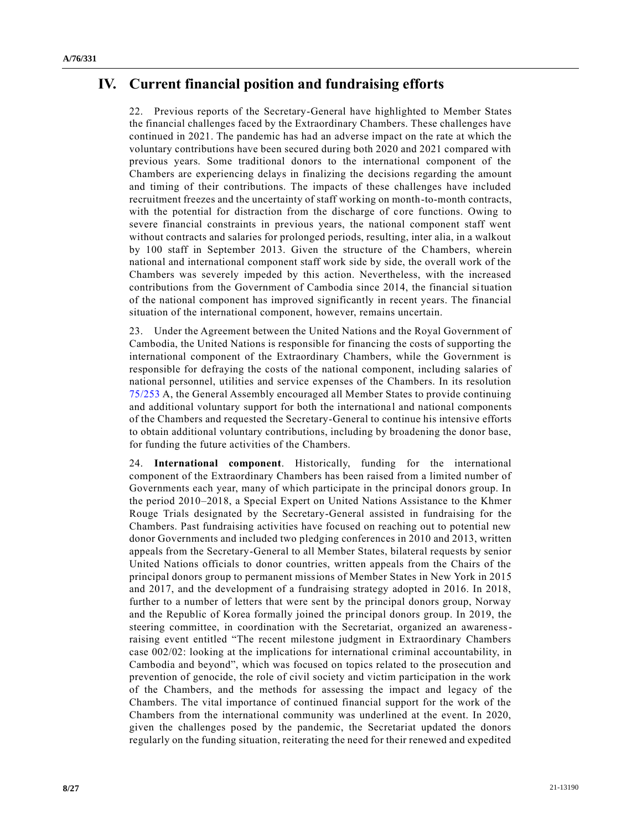# **IV. Current financial position and fundraising efforts**

22. Previous reports of the Secretary-General have highlighted to Member States the financial challenges faced by the Extraordinary Chambers. These challenges have continued in 2021. The pandemic has had an adverse impact on the rate at which the voluntary contributions have been secured during both 2020 and 2021 compared with previous years. Some traditional donors to the international component of the Chambers are experiencing delays in finalizing the decisions regarding the amount and timing of their contributions. The impacts of these challenges have included recruitment freezes and the uncertainty of staff working on month-to-month contracts, with the potential for distraction from the discharge of core functions. Owing to severe financial constraints in previous years, the national component staff went without contracts and salaries for prolonged periods, resulting, inter alia, in a walkout by 100 staff in September 2013. Given the structure of the Chambers, wherein national and international component staff work side by side, the overall work of the Chambers was severely impeded by this action. Nevertheless, with the increased contributions from the Government of Cambodia since 2014, the financial situation of the national component has improved significantly in recent years. The financial situation of the international component, however, remains uncertain.

23. Under the Agreement between the United Nations and the Royal Government of Cambodia, the United Nations is responsible for financing the costs of supporting the international component of the Extraordinary Chambers, while the Government is responsible for defraying the costs of the national component, including salaries of national personnel, utilities and service expenses of the Chambers. In its resolution [75/253](https://undocs.org/en/A/RES/75/253) A, the General Assembly encouraged all Member States to provide continuing and additional voluntary support for both the international and national components of the Chambers and requested the Secretary-General to continue his intensive efforts to obtain additional voluntary contributions, including by broadening the donor base, for funding the future activities of the Chambers.

24. **International component**. Historically, funding for the international component of the Extraordinary Chambers has been raised from a limited number of Governments each year, many of which participate in the principal donors group. In the period 2010–2018, a Special Expert on United Nations Assistance to the Khmer Rouge Trials designated by the Secretary-General assisted in fundraising for the Chambers. Past fundraising activities have focused on reaching out to potential new donor Governments and included two pledging conferences in 2010 and 2013, written appeals from the Secretary-General to all Member States, bilateral requests by senior United Nations officials to donor countries, written appeals from the Chairs of the principal donors group to permanent missions of Member States in New York in 2015 and 2017, and the development of a fundraising strategy adopted in 2016. In 2018, further to a number of letters that were sent by the principal donors group, Norway and the Republic of Korea formally joined the principal donors group. In 2019, the steering committee, in coordination with the Secretariat, organized an awarenessraising event entitled "The recent milestone judgment in Extraordinary Chambers case 002/02: looking at the implications for international criminal accountability, in Cambodia and beyond", which was focused on topics related to the prosecution and prevention of genocide, the role of civil society and victim participation in the work of the Chambers, and the methods for assessing the impact and legacy of the Chambers. The vital importance of continued financial support for the work of the Chambers from the international community was underlined at the event. In 2020, given the challenges posed by the pandemic, the Secretariat updated the donors regularly on the funding situation, reiterating the need for their renewed and expedited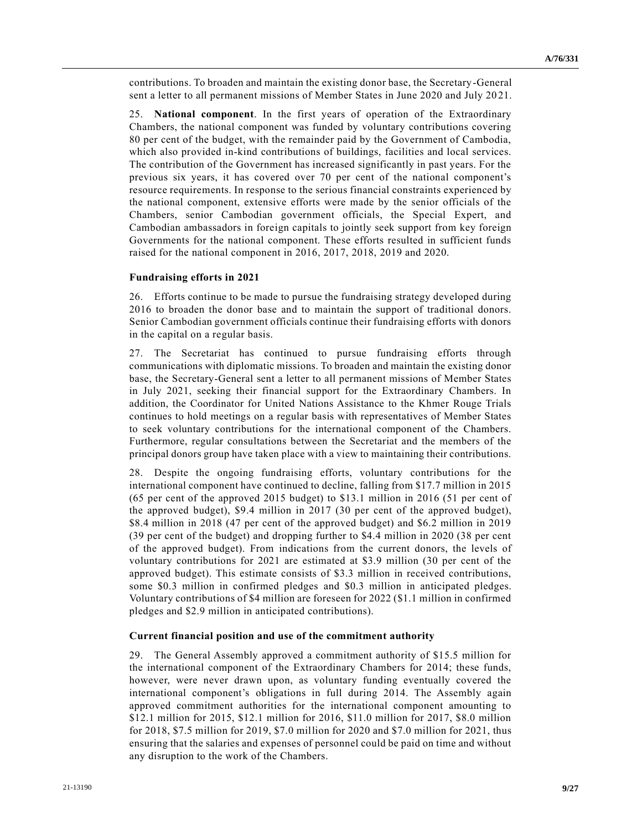contributions. To broaden and maintain the existing donor base, the Secretary-General sent a letter to all permanent missions of Member States in June 2020 and July 20 21.

25. **National component**. In the first years of operation of the Extraordinary Chambers, the national component was funded by voluntary contributions covering 80 per cent of the budget, with the remainder paid by the Government of Cambodia, which also provided in-kind contributions of buildings, facilities and local services. The contribution of the Government has increased significantly in past years. For the previous six years, it has covered over 70 per cent of the national component's resource requirements. In response to the serious financial constraints experienced by the national component, extensive efforts were made by the senior officials of the Chambers, senior Cambodian government officials, the Special Expert, and Cambodian ambassadors in foreign capitals to jointly seek support from key foreign Governments for the national component. These efforts resulted in sufficient funds raised for the national component in 2016, 2017, 2018, 2019 and 2020.

#### **Fundraising efforts in 2021**

26. Efforts continue to be made to pursue the fundraising strategy developed during 2016 to broaden the donor base and to maintain the support of traditional donors. Senior Cambodian government officials continue their fundraising efforts with donors in the capital on a regular basis.

27. The Secretariat has continued to pursue fundraising efforts through communications with diplomatic missions. To broaden and maintain the existing donor base, the Secretary-General sent a letter to all permanent missions of Member States in July 2021, seeking their financial support for the Extraordinary Chambers. In addition, the Coordinator for United Nations Assistance to the Khmer Rouge Trials continues to hold meetings on a regular basis with representatives of Member States to seek voluntary contributions for the international component of the Chambers. Furthermore, regular consultations between the Secretariat and the members of the principal donors group have taken place with a view to maintaining their contributions.

28. Despite the ongoing fundraising efforts, voluntary contributions for the international component have continued to decline, falling from \$17.7 million in 2015 (65 per cent of the approved 2015 budget) to \$13.1 million in 2016 (51 per cent of the approved budget), \$9.4 million in 2017 (30 per cent of the approved budget), \$8.4 million in 2018 (47 per cent of the approved budget) and \$6.2 million in 2019 (39 per cent of the budget) and dropping further to \$4.4 million in 2020 (38 per cent of the approved budget). From indications from the current donors, the levels of voluntary contributions for 2021 are estimated at \$3.9 million (30 per cent of the approved budget). This estimate consists of \$3.3 million in received contributions, some \$0.3 million in confirmed pledges and \$0.3 million in anticipated pledges. Voluntary contributions of \$4 million are foreseen for 2022 (\$1.1 million in confirmed pledges and \$2.9 million in anticipated contributions).

#### **Current financial position and use of the commitment authority**

29. The General Assembly approved a commitment authority of \$15.5 million for the international component of the Extraordinary Chambers for 2014; these funds, however, were never drawn upon, as voluntary funding eventually covered the international component's obligations in full during 2014. The Assembly again approved commitment authorities for the international component amounting to \$12.1 million for 2015, \$12.1 million for 2016, \$11.0 million for 2017, \$8.0 million for 2018, \$7.5 million for 2019, \$7.0 million for 2020 and \$7.0 million for 2021, thus ensuring that the salaries and expenses of personnel could be paid on time and without any disruption to the work of the Chambers.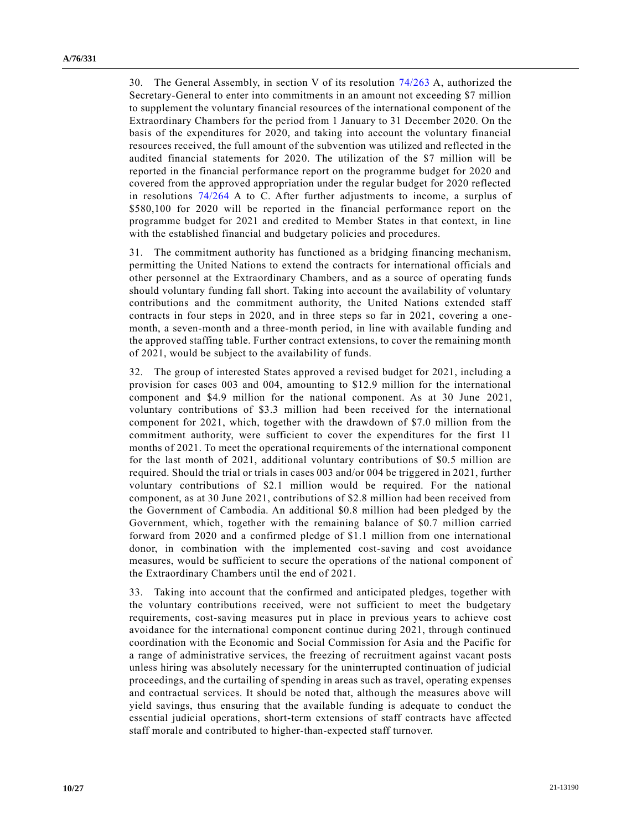30. The General Assembly, in section V of its resolution [74/263](https://undocs.org/en/A/RES/74/263) A, authorized the Secretary-General to enter into commitments in an amount not exceeding \$7 million to supplement the voluntary financial resources of the international component of the Extraordinary Chambers for the period from 1 January to 31 December 2020. On the basis of the expenditures for 2020, and taking into account the voluntary financial resources received, the full amount of the subvention was utilized and reflected in the audited financial statements for 2020. The utilization of the \$7 million will be reported in the financial performance report on the programme budget for 2020 and covered from the approved appropriation under the regular budget for 2020 reflected in resolutions [74/264](https://undocs.org/en/A/RES/74/264a-c) A to C. After further adjustments to income, a surplus of \$580,100 for 2020 will be reported in the financial performance report on the programme budget for 2021 and credited to Member States in that context, in line with the established financial and budgetary policies and procedures.

31. The commitment authority has functioned as a bridging financing mechanism, permitting the United Nations to extend the contracts for international officials and other personnel at the Extraordinary Chambers, and as a source of operating funds should voluntary funding fall short. Taking into account the availability of voluntary contributions and the commitment authority, the United Nations extended staff contracts in four steps in 2020, and in three steps so far in 2021, covering a onemonth, a seven-month and a three-month period, in line with available funding and the approved staffing table. Further contract extensions, to cover the remaining month of 2021, would be subject to the availability of funds.

32. The group of interested States approved a revised budget for 2021, including a provision for cases 003 and 004, amounting to \$12.9 million for the international component and \$4.9 million for the national component. As at 30 June 2021, voluntary contributions of \$3.3 million had been received for the international component for 2021, which, together with the drawdown of \$7.0 million from the commitment authority, were sufficient to cover the expenditures for the first 11 months of 2021. To meet the operational requirements of the international component for the last month of 2021, additional voluntary contributions of \$0.5 million are required. Should the trial or trials in cases 003 and/or 004 be triggered in 2021, further voluntary contributions of \$2.1 million would be required. For the national component, as at 30 June 2021, contributions of \$2.8 million had been received from the Government of Cambodia. An additional \$0.8 million had been pledged by the Government, which, together with the remaining balance of \$0.7 million carried forward from 2020 and a confirmed pledge of \$1.1 million from one international donor, in combination with the implemented cost-saving and cost avoidance measures, would be sufficient to secure the operations of the national component of the Extraordinary Chambers until the end of 2021.

33. Taking into account that the confirmed and anticipated pledges, together with the voluntary contributions received, were not sufficient to meet the budgetary requirements, cost-saving measures put in place in previous years to achieve cost avoidance for the international component continue during 2021, through continued coordination with the Economic and Social Commission for Asia and the Pacific for a range of administrative services, the freezing of recruitment against vacant posts unless hiring was absolutely necessary for the uninterrupted continuation of judicial proceedings, and the curtailing of spending in areas such as travel, operating expenses and contractual services. It should be noted that, although the measures above will yield savings, thus ensuring that the available funding is adequate to conduct the essential judicial operations, short-term extensions of staff contracts have affected staff morale and contributed to higher-than-expected staff turnover.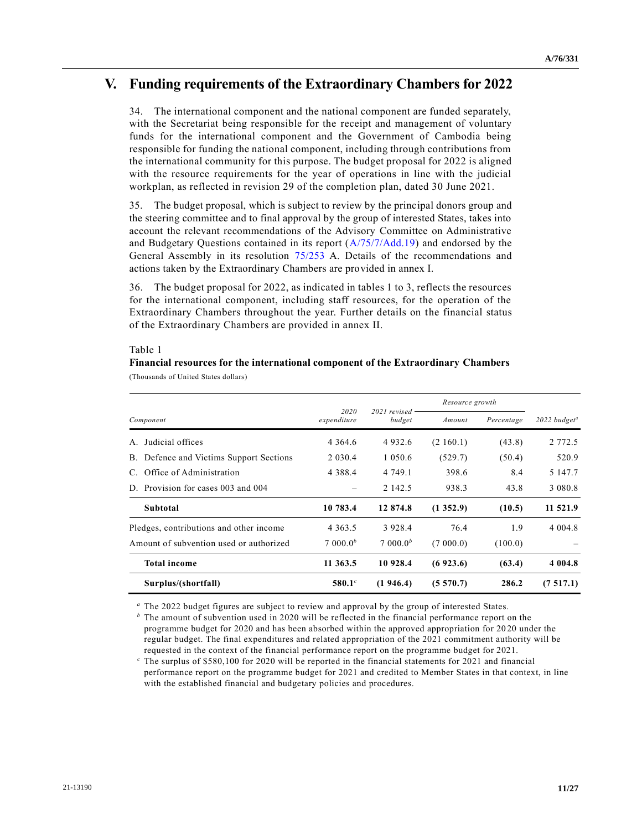## **V. Funding requirements of the Extraordinary Chambers for 2022**

34. The international component and the national component are funded separately, with the Secretariat being responsible for the receipt and management of voluntary funds for the international component and the Government of Cambodia being responsible for funding the national component, including through contributions from the international community for this purpose. The budget proposal for 2022 is aligned with the resource requirements for the year of operations in line with the judicial workplan, as reflected in revision 29 of the completion plan, dated 30 June 2021.

35. The budget proposal, which is subject to review by the principal donors group and the steering committee and to final approval by the group of interested States, takes into account the relevant recommendations of the Advisory Committee on Administrative and Budgetary Questions contained in its report [\(A/75/7/Add.19\)](https://undocs.org/en/A/75/7/Add.19) and endorsed by the General Assembly in its resolution [75/253](https://undocs.org/en/A/RES/75/253) A. Details of the recommendations and actions taken by the Extraordinary Chambers are provided in annex I.

36. The budget proposal for 2022, as indicated in tables 1 to 3, reflects the resources for the international component, including staff resources, for the operation of the Extraordinary Chambers throughout the year. Further details on the financial status of the Extraordinary Chambers are provided in annex II.

#### Table 1

### **Financial resources for the international component of the Extraordinary Chambers** (Thousands of United States dollars)

|                                         | 2020<br>expenditure  | $2021$ revised<br>budget | Resource growth |            |                                   |  |
|-----------------------------------------|----------------------|--------------------------|-----------------|------------|-----------------------------------|--|
| Component                               |                      |                          | Amount          | Percentage | $2022$ budget <sup><i>a</i></sup> |  |
| Judicial offices<br>$A_{\cdot}$         | 4 3 6 4 . 6          | 4932.6                   | (2160.1)        | (43.8)     | 2 7 7 2 . 5                       |  |
| B. Defence and Victims Support Sections | 2 0 3 0 .4           | 1 0 5 0 . 6              | (529.7)         | (50.4)     | 520.9                             |  |
| C. Office of Administration             | 4 3 8 8 .4           | 4 749.1                  | 398.6           | 8.4        | 5 147.7                           |  |
| D. Provision for cases 003 and 004      |                      | 2 142.5                  | 938.3           | 43.8       | 3 0 8 0 . 8                       |  |
| Subtotal                                | 10 783.4             | 12 874.8                 | (1352.9)        | (10.5)     | 11 521.9                          |  |
| Pledges, contributions and other income | 4 3 6 3 . 5          | 3 9 2 8 . 4              | 76.4            | 1.9        | 4 0 0 4 .8                        |  |
| Amount of subvention used or authorized | 7.000.0 <sup>b</sup> | 7.000.0 <sup>b</sup>     | (7000.0)        | (100.0)    |                                   |  |
| <b>Total income</b>                     | 11 363.5             | 10 928.4                 | (6923.6)        | (63.4)     | 4 0 0 4.8                         |  |
| Surplus/(shortfall)                     | 580.1 $^{c}$         | (1946.4)                 | (5570.7)        | 286.2      | (7517.1)                          |  |

*<sup>a</sup>* The 2022 budget figures are subject to review and approval by the group of interested States.

*<sup>b</sup>* The amount of subvention used in 2020 will be reflected in the financial performance report on the programme budget for 2020 and has been absorbed within the approved appropriation for 20 20 under the regular budget. The final expenditures and related appropriation of the 2021 commitment authority will be requested in the context of the financial performance report on the programme budget for 2021.

*<sup>c</sup>* The surplus of \$580,100 for 2020 will be reported in the financial statements for 2021 and financial performance report on the programme budget for 2021 and credited to Member States in that context, in line with the established financial and budgetary policies and procedures.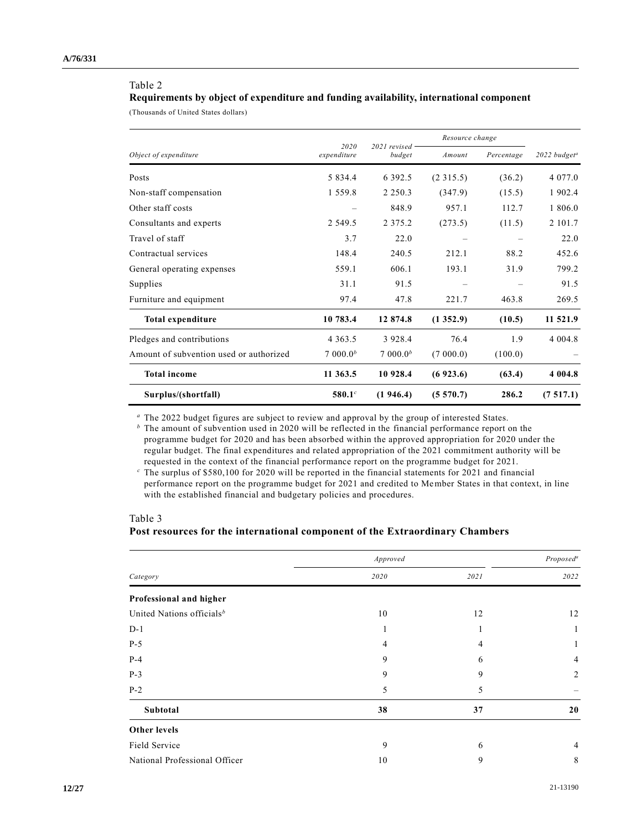#### Table 2

### **Requirements by object of expenditure and funding availability, international component**

(Thousands of United States dollars)

|                                         |                     |                          | Resource change |            |                            |
|-----------------------------------------|---------------------|--------------------------|-----------------|------------|----------------------------|
| Object of expenditure                   | 2020<br>expenditure | $2021$ revised<br>budget | Amount          | Percentage | $2022$ budget <sup>a</sup> |
| Posts                                   | 5 8 3 4 . 4         | 6 3 9 2 . 5              | (2315.5)        | (36.2)     | 4 0 7 7 .0                 |
| Non-staff compensation                  | 1 5 5 9 . 8         | 2 2 5 0 . 3              | (347.9)         | (15.5)     | 1 902.4                    |
| Other staff costs                       |                     | 848.9                    | 957.1           | 112.7      | 1 806.0                    |
| Consultants and experts                 | 2 5 4 9 . 5         | 2 3 7 5 . 2              | (273.5)         | (11.5)     | 2 101.7                    |
| Travel of staff                         | 3.7                 | 22.0                     |                 |            | 22.0                       |
| Contractual services                    | 148.4               | 240.5                    | 212.1           | 88.2       | 452.6                      |
| General operating expenses              | 559.1               | 606.1                    | 193.1           | 31.9       | 799.2                      |
| Supplies                                | 31.1                | 91.5                     |                 |            | 91.5                       |
| Furniture and equipment                 | 97.4                | 47.8                     | 221.7           | 463.8      | 269.5                      |
| <b>Total expenditure</b>                | 10 783.4            | 12 874.8                 | (1352.9)        | (10.5)     | 11 521.9                   |
| Pledges and contributions               | 4 3 6 3 .5          | 3 9 2 8 .4               | 76.4            | 1.9        | 4 0 0 4 .8                 |
| Amount of subvention used or authorized | 7000.0 <sup>b</sup> | 7000.0 <sup>b</sup>      | (7000.0)        | (100.0)    |                            |
| <b>Total income</b>                     | 11 363.5            | 10 928.4                 | (6923.6)        | (63.4)     | 4 0 0 4.8                  |
| Surplus/(shortfall)                     | $580.1^c$           | (1946.4)                 | (5570.7)        | 286.2      | (7517.1)                   |

*<sup>a</sup>* The 2022 budget figures are subject to review and approval by the group of interested States.

*<sup>b</sup>* The amount of subvention used in 2020 will be reflected in the financial performance report on the programme budget for 2020 and has been absorbed within the approved appropriation for 2020 under the regular budget. The final expenditures and related appropriation of the 2021 commitment authority will be requested in the context of the financial performance report on the programme budget for 2021.

*<sup>c</sup>* The surplus of \$580,100 for 2020 will be reported in the financial statements for 2021 and financial performance report on the programme budget for 2021 and credited to Member States in that context, in line with the established financial and budgetary policies and procedures.

### Table 3 **Post resources for the international component of the Extraordinary Chambers**

|                                       | Approved |      | Proposed <sup>a</sup> |  |
|---------------------------------------|----------|------|-----------------------|--|
| Category                              | 2020     | 2021 | 2022                  |  |
| Professional and higher               |          |      |                       |  |
| United Nations officials <sup>b</sup> | 10       | 12   | 12                    |  |
| $D-1$                                 |          | ı.   | 1                     |  |
| $P-5$                                 | 4        | 4    | 1                     |  |
| $P-4$                                 | 9        | 6    | 4                     |  |
| $P-3$                                 | 9        | 9    | 2                     |  |
| $P-2$                                 | 5        | 5    |                       |  |
| Subtotal                              | 38       | 37   | 20                    |  |
| <b>Other levels</b>                   |          |      |                       |  |
| Field Service                         | 9        | 6    | $\overline{4}$        |  |
| National Professional Officer         | 10       | 9    | 8                     |  |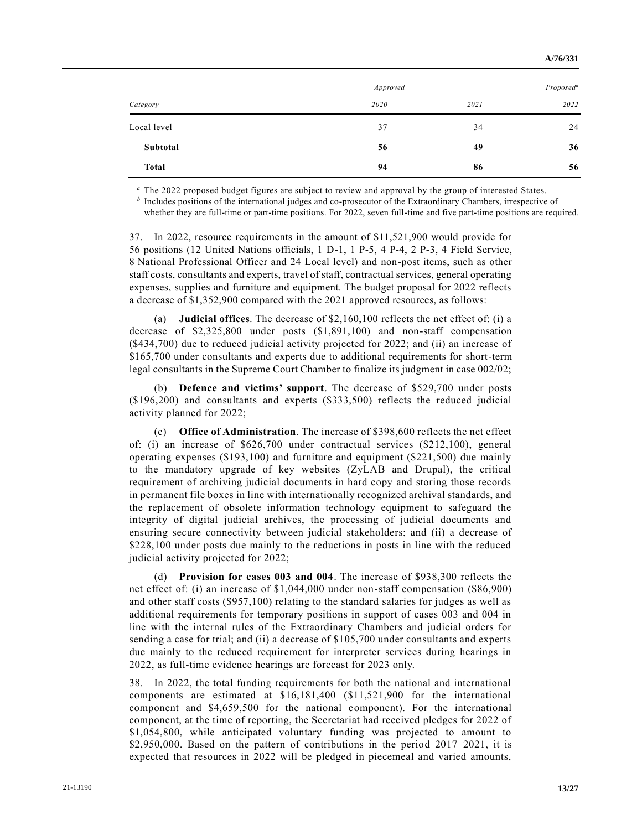|              | Approved |      | Proposed <sup>a</sup> |  |
|--------------|----------|------|-----------------------|--|
| Category     | 2020     | 2021 | 2022                  |  |
| Local level  | 37       | 34   | 24                    |  |
| Subtotal     | 56       | 49   | 36                    |  |
| <b>Total</b> | 94       | 86   | 56                    |  |

*<sup>a</sup>* The 2022 proposed budget figures are subject to review and approval by the group of interested States.

*b* Includes positions of the international judges and co-prosecutor of the Extraordinary Chambers, irrespective of whether they are full-time or part-time positions. For 2022, seven full-time and five part-time positions are required.

37. In 2022, resource requirements in the amount of \$11,521,900 would provide for 56 positions (12 United Nations officials, 1 D-1, 1 P-5, 4 P-4, 2 P-3, 4 Field Service, 8 National Professional Officer and 24 Local level) and non-post items, such as other staff costs, consultants and experts, travel of staff, contractual services, general operating expenses, supplies and furniture and equipment. The budget proposal for 2022 reflects a decrease of \$1,352,900 compared with the 2021 approved resources, as follows:

(a) **Judicial offices**. The decrease of \$2,160,100 reflects the net effect of: (i) a decrease of \$2,325,800 under posts (\$1,891,100) and non-staff compensation (\$434,700) due to reduced judicial activity projected for 2022; and (ii) an increase of \$165,700 under consultants and experts due to additional requirements for short-term legal consultants in the Supreme Court Chamber to finalize its judgment in case 002/02;

(b) **Defence and victims' support**. The decrease of \$529,700 under posts (\$196,200) and consultants and experts (\$333,500) reflects the reduced judicial activity planned for 2022;

(c) **Office of Administration**. The increase of \$398,600 reflects the net effect of: (i) an increase of \$626,700 under contractual services (\$212,100), general operating expenses (\$193,100) and furniture and equipment (\$221,500) due mainly to the mandatory upgrade of key websites (ZyLAB and Drupal), the critical requirement of archiving judicial documents in hard copy and storing those records in permanent file boxes in line with internationally recognized archival standards, and the replacement of obsolete information technology equipment to safeguard the integrity of digital judicial archives, the processing of judicial documents and ensuring secure connectivity between judicial stakeholders; and (ii) a decrease of \$228,100 under posts due mainly to the reductions in posts in line with the reduced judicial activity projected for 2022;

(d) **Provision for cases 003 and 004**. The increase of \$938,300 reflects the net effect of: (i) an increase of \$1,044,000 under non-staff compensation (\$86,900) and other staff costs (\$957,100) relating to the standard salaries for judges as well as additional requirements for temporary positions in support of cases 003 and 004 in line with the internal rules of the Extraordinary Chambers and judicial orders for sending a case for trial; and (ii) a decrease of \$105,700 under consultants and experts due mainly to the reduced requirement for interpreter services during hearings in 2022, as full-time evidence hearings are forecast for 2023 only.

38. In 2022, the total funding requirements for both the national and international components are estimated at \$16,181,400 (\$11,521,900 for the international component and \$4,659,500 for the national component). For the international component, at the time of reporting, the Secretariat had received pledges for 2022 of \$1,054,800, while anticipated voluntary funding was projected to amount to \$2,950,000. Based on the pattern of contributions in the period 2017–2021, it is expected that resources in 2022 will be pledged in piecemeal and varied amounts,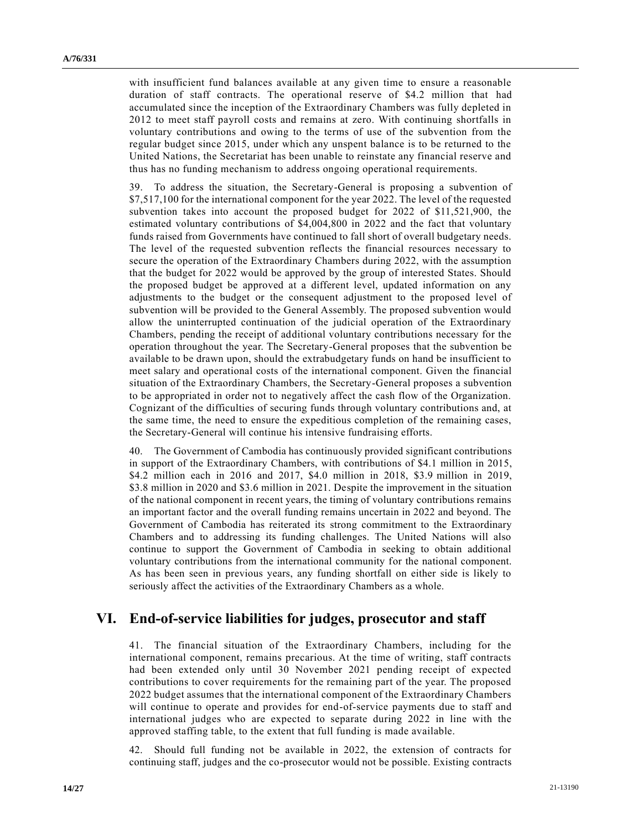with insufficient fund balances available at any given time to ensure a reasonable duration of staff contracts. The operational reserve of \$4.2 million that had accumulated since the inception of the Extraordinary Chambers was fully depleted in 2012 to meet staff payroll costs and remains at zero. With continuing shortfalls in voluntary contributions and owing to the terms of use of the subvention from the regular budget since 2015, under which any unspent balance is to be returned to the United Nations, the Secretariat has been unable to reinstate any financial reserve and thus has no funding mechanism to address ongoing operational requirements.

39. To address the situation, the Secretary-General is proposing a subvention of \$7,517,100 for the international component for the year 2022. The level of the requested subvention takes into account the proposed budget for 2022 of \$11,521,900, the estimated voluntary contributions of \$4,004,800 in 2022 and the fact that voluntary funds raised from Governments have continued to fall short of overall budgetary needs. The level of the requested subvention reflects the financial resources necessary to secure the operation of the Extraordinary Chambers during 2022, with the assumption that the budget for 2022 would be approved by the group of interested States. Should the proposed budget be approved at a different level, updated information on any adjustments to the budget or the consequent adjustment to the proposed level of subvention will be provided to the General Assembly. The proposed subvention would allow the uninterrupted continuation of the judicial operation of the Extraordinary Chambers, pending the receipt of additional voluntary contributions necessary for the operation throughout the year. The Secretary-General proposes that the subvention be available to be drawn upon, should the extrabudgetary funds on hand be insufficient to meet salary and operational costs of the international component. Given the financial situation of the Extraordinary Chambers, the Secretary-General proposes a subvention to be appropriated in order not to negatively affect the cash flow of the Organization. Cognizant of the difficulties of securing funds through voluntary contributions and, at the same time, the need to ensure the expeditious completion of the remaining cases, the Secretary-General will continue his intensive fundraising efforts.

40. The Government of Cambodia has continuously provided significant contributions in support of the Extraordinary Chambers, with contributions of \$4.1 million in 2015, \$4.2 million each in 2016 and 2017, \$4.0 million in 2018, \$3.9 million in 2019, \$3.8 million in 2020 and \$3.6 million in 2021. Despite the improvement in the situation of the national component in recent years, the timing of voluntary contributions remains an important factor and the overall funding remains uncertain in 2022 and beyond. The Government of Cambodia has reiterated its strong commitment to the Extraordinary Chambers and to addressing its funding challenges. The United Nations will also continue to support the Government of Cambodia in seeking to obtain additional voluntary contributions from the international community for the national component. As has been seen in previous years, any funding shortfall on either side is likely to seriously affect the activities of the Extraordinary Chambers as a whole.

## **VI. End-of-service liabilities for judges, prosecutor and staff**

41. The financial situation of the Extraordinary Chambers, including for the international component, remains precarious. At the time of writing, staff contracts had been extended only until 30 November 2021 pending receipt of expected contributions to cover requirements for the remaining part of the year. The proposed 2022 budget assumes that the international component of the Extraordinary Chambers will continue to operate and provides for end-of-service payments due to staff and international judges who are expected to separate during 2022 in line with the approved staffing table, to the extent that full funding is made available.

42. Should full funding not be available in 2022, the extension of contracts for continuing staff, judges and the co-prosecutor would not be possible. Existing contracts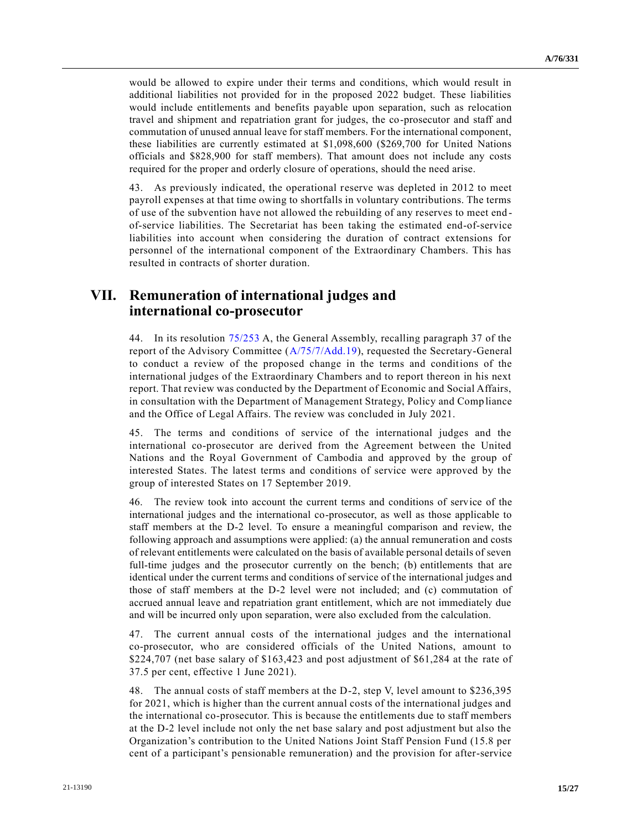would be allowed to expire under their terms and conditions, which would result in additional liabilities not provided for in the proposed 2022 budget. These liabilities would include entitlements and benefits payable upon separation, such as relocation travel and shipment and repatriation grant for judges, the co-prosecutor and staff and commutation of unused annual leave for staff members. For the international component, these liabilities are currently estimated at \$1,098,600 (\$269,700 for United Nations officials and \$828,900 for staff members). That amount does not include any costs required for the proper and orderly closure of operations, should the need arise.

43. As previously indicated, the operational reserve was depleted in 2012 to meet payroll expenses at that time owing to shortfalls in voluntary contributions. The terms of use of the subvention have not allowed the rebuilding of any reserves to meet end of-service liabilities. The Secretariat has been taking the estimated end-of-service liabilities into account when considering the duration of contract extensions for personnel of the international component of the Extraordinary Chambers. This has resulted in contracts of shorter duration.

## **VII. Remuneration of international judges and international co-prosecutor**

44. In its resolution [75/253](https://undocs.org/en/A/RES/75/253) A, the General Assembly, recalling paragraph 37 of the report of the Advisory Committee [\(A/75/7/Add.19\)](https://undocs.org/en/A/75/7/Add.19), requested the Secretary-General to conduct a review of the proposed change in the terms and conditions of the international judges of the Extraordinary Chambers and to report thereon in his next report. That review was conducted by the Department of Economic and Social Affairs, in consultation with the Department of Management Strategy, Policy and Comp liance and the Office of Legal Affairs. The review was concluded in July 2021.

45. The terms and conditions of service of the international judges and the international co-prosecutor are derived from the Agreement between the United Nations and the Royal Government of Cambodia and approved by the group of interested States. The latest terms and conditions of service were approved by the group of interested States on 17 September 2019.

46. The review took into account the current terms and conditions of service of the international judges and the international co-prosecutor, as well as those applicable to staff members at the D-2 level. To ensure a meaningful comparison and review, the following approach and assumptions were applied: (a) the annual remuneration and costs of relevant entitlements were calculated on the basis of available personal details of seven full-time judges and the prosecutor currently on the bench; (b) entitlements that are identical under the current terms and conditions of service of the international judges and those of staff members at the D-2 level were not included; and (c) commutation of accrued annual leave and repatriation grant entitlement, which are not immediately due and will be incurred only upon separation, were also excluded from the calculation.

47. The current annual costs of the international judges and the international co-prosecutor, who are considered officials of the United Nations, amount to \$224,707 (net base salary of \$163,423 and post adjustment of \$61,284 at the rate of 37.5 per cent, effective 1 June 2021).

48. The annual costs of staff members at the D-2, step V, level amount to \$236,395 for 2021, which is higher than the current annual costs of the international judges and the international co-prosecutor. This is because the entitlements due to staff members at the D-2 level include not only the net base salary and post adjustment but also the Organization's contribution to the United Nations Joint Staff Pension Fund (15.8 per cent of a participant's pensionable remuneration) and the provision for after-service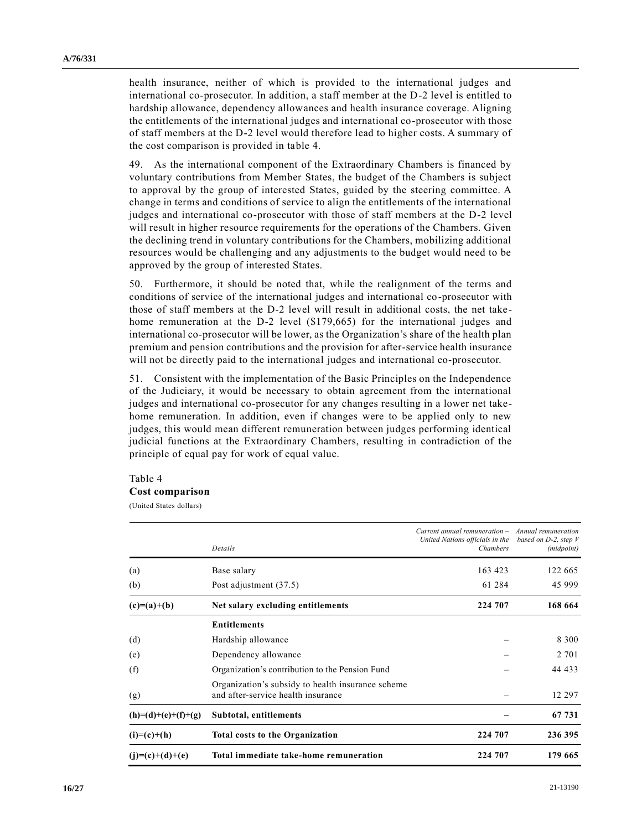health insurance, neither of which is provided to the international judges and international co-prosecutor. In addition, a staff member at the D-2 level is entitled to hardship allowance, dependency allowances and health insurance coverage. Aligning the entitlements of the international judges and international co-prosecutor with those of staff members at the D-2 level would therefore lead to higher costs. A summary of the cost comparison is provided in table 4.

49. As the international component of the Extraordinary Chambers is financed by voluntary contributions from Member States, the budget of the Chambers is subject to approval by the group of interested States, guided by the steering committee. A change in terms and conditions of service to align the entitlements of the international judges and international co-prosecutor with those of staff members at the D-2 level will result in higher resource requirements for the operations of the Chambers. Given the declining trend in voluntary contributions for the Chambers, mobilizing additional resources would be challenging and any adjustments to the budget would need to be approved by the group of interested States.

50. Furthermore, it should be noted that, while the realignment of the terms and conditions of service of the international judges and international co-prosecutor with those of staff members at the D-2 level will result in additional costs, the net takehome remuneration at the D-2 level (\$179,665) for the international judges and international co-prosecutor will be lower, as the Organization's share of the health plan premium and pension contributions and the provision for after-service health insurance will not be directly paid to the international judges and international co-prosecutor.

51. Consistent with the implementation of the Basic Principles on the Independence of the Judiciary, it would be necessary to obtain agreement from the international judges and international co-prosecutor for any changes resulting in a lower net takehome remuneration. In addition, even if changes were to be applied only to new judges, this would mean different remuneration between judges performing identical judicial functions at the Extraordinary Chambers, resulting in contradiction of the principle of equal pay for work of equal value.

#### Table 4 **Cost comparison**

(United States dollars)

|                       | Details                                                                                 | $Current$ annual remuneration $-$ Annual remuneration<br>United Nations officials in the<br><b>Chambers</b> | based on D-2, step V<br>( <i>midpoint</i> ) |
|-----------------------|-----------------------------------------------------------------------------------------|-------------------------------------------------------------------------------------------------------------|---------------------------------------------|
| (a)                   | Base salary                                                                             | 163 423                                                                                                     | 122 665                                     |
| (b)                   | Post adjustment (37.5)                                                                  | 61 284                                                                                                      | 45 999                                      |
| $(c)=(a)+(b)$         | Net salary excluding entitlements                                                       | 224 707                                                                                                     | 168 664                                     |
|                       | <b>Entitlements</b>                                                                     |                                                                                                             |                                             |
| (d)                   | Hardship allowance                                                                      |                                                                                                             | 8 3 0 0                                     |
| (e)                   | Dependency allowance                                                                    |                                                                                                             | 2 701                                       |
| (f)                   | Organization's contribution to the Pension Fund                                         |                                                                                                             | 44 433                                      |
| (g)                   | Organization's subsidy to health insurance scheme<br>and after-service health insurance |                                                                                                             | 12 297                                      |
| $(h)=(d)+(e)+(f)+(g)$ | Subtotal, entitlements                                                                  |                                                                                                             | 67 731                                      |
| $(i)=(c)+(h)$         | <b>Total costs to the Organization</b>                                                  | 224 707                                                                                                     | 236 395                                     |
| $(j)=(c)+(d)+(e)$     | Total immediate take-home remuneration                                                  | 224 707                                                                                                     | 179 665                                     |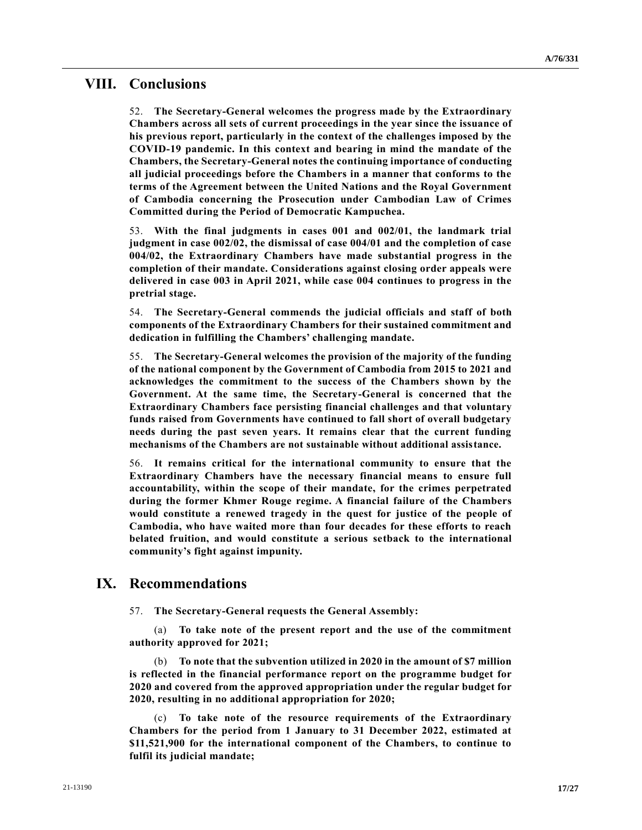## **VIII. Conclusions**

52. **The Secretary-General welcomes the progress made by the Extraordinary Chambers across all sets of current proceedings in the year since the issuance of his previous report, particularly in the context of the challenges imposed by the COVID-19 pandemic. In this context and bearing in mind the mandate of the Chambers, the Secretary-General notes the continuing importance of conducting all judicial proceedings before the Chambers in a manner that conforms to the terms of the Agreement between the United Nations and the Royal Government of Cambodia concerning the Prosecution under Cambodian Law of Crimes Committed during the Period of Democratic Kampuchea.**

53. **With the final judgments in cases 001 and 002/01, the landmark trial judgment in case 002/02, the dismissal of case 004/01 and the completion of case 004/02, the Extraordinary Chambers have made substantial progress in the completion of their mandate. Considerations against closing order appeals were delivered in case 003 in April 2021, while case 004 continues to progress in the pretrial stage.**

54. **The Secretary-General commends the judicial officials and staff of both components of the Extraordinary Chambers for their sustained commitment and dedication in fulfilling the Chambers' challenging mandate.**

55. **The Secretary-General welcomes the provision of the majority of the funding of the national component by the Government of Cambodia from 2015 to 2021 and acknowledges the commitment to the success of the Chambers shown by the Government. At the same time, the Secretary-General is concerned that the Extraordinary Chambers face persisting financial challenges and that voluntary funds raised from Governments have continued to fall short of overall budgetary needs during the past seven years. It remains clear that the current funding mechanisms of the Chambers are not sustainable without additional assistance.** 

56. **It remains critical for the international community to ensure that the Extraordinary Chambers have the necessary financial means to ensure full accountability, within the scope of their mandate, for the crimes perpetrated during the former Khmer Rouge regime. A financial failure of the Chambers would constitute a renewed tragedy in the quest for justice of the people of Cambodia, who have waited more than four decades for these efforts to reach belated fruition, and would constitute a serious setback to the international community's fight against impunity.**

# **IX. Recommendations**

57. **The Secretary-General requests the General Assembly:**

(a) **To take note of the present report and the use of the commitment authority approved for 2021;**

(b) **To note that the subvention utilized in 2020 in the amount of \$7 million is reflected in the financial performance report on the programme budget for 2020 and covered from the approved appropriation under the regular budget for 2020, resulting in no additional appropriation for 2020;**

(c) **To take note of the resource requirements of the Extraordinary Chambers for the period from 1 January to 31 December 2022, estimated at \$11,521,900 for the international component of the Chambers, to continue to fulfil its judicial mandate;**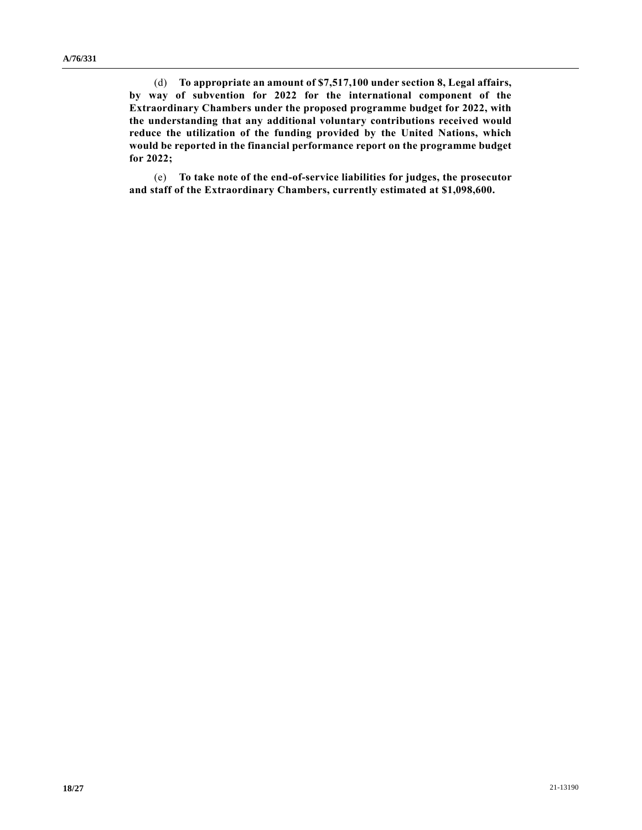(d) **To appropriate an amount of \$7,517,100 under section 8, Legal affairs, by way of subvention for 2022 for the international component of the Extraordinary Chambers under the proposed programme budget for 2022, with the understanding that any additional voluntary contributions received would reduce the utilization of the funding provided by the United Nations, which would be reported in the financial performance report on the programme budget for 2022;**

(e) **To take note of the end-of-service liabilities for judges, the prosecutor and staff of the Extraordinary Chambers, currently estimated at \$1,098,600.**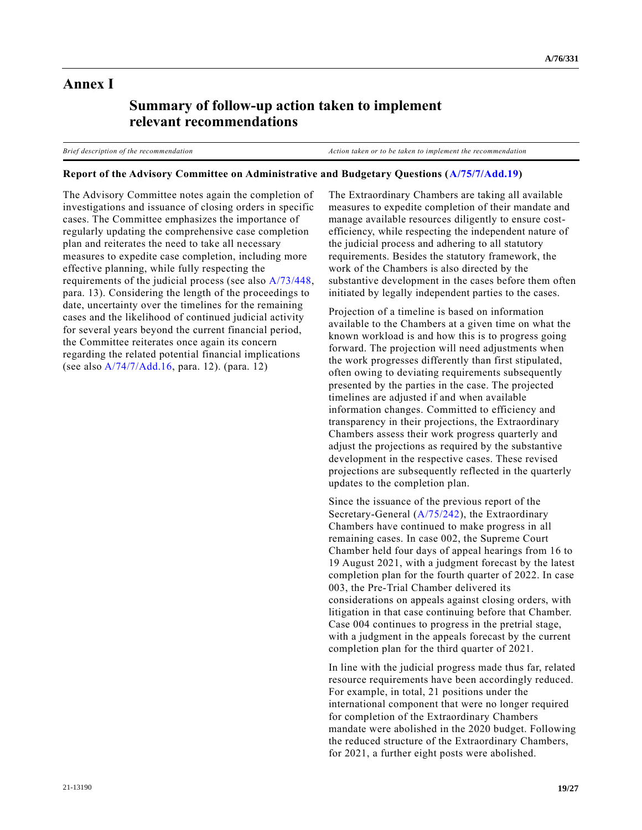## **Annex I**

# **Summary of follow-up action taken to implement relevant recommendations**

*Brief description of the recommendation Action taken or to be taken to implement the recommendation*

### **Report of the Advisory Committee on Administrative and Budgetary Questions [\(A/75/7/Add.19\)](https://undocs.org/en/A/75/7/Add.19)**

The Advisory Committee notes again the completion of investigations and issuance of closing orders in specific cases. The Committee emphasizes the importance of regularly updating the comprehensive case completion plan and reiterates the need to take all necessary measures to expedite case completion, including more effective planning, while fully respecting the requirements of the judicial process (see also [A/73/448,](https://undocs.org/en/A/73/448) para. 13). Considering the length of the proceedings to date, uncertainty over the timelines for the remaining cases and the likelihood of continued judicial activity for several years beyond the current financial period, the Committee reiterates once again its concern regarding the related potential financial implications (see als[o A/74/7/Add.16,](https://undocs.org/en/A/74/7/Add.16) para. 12). (para. 12)

The Extraordinary Chambers are taking all available measures to expedite completion of their mandate and manage available resources diligently to ensure costefficiency, while respecting the independent nature of the judicial process and adhering to all statutory requirements. Besides the statutory framework, the work of the Chambers is also directed by the substantive development in the cases before them often initiated by legally independent parties to the cases.

Projection of a timeline is based on information available to the Chambers at a given time on what the known workload is and how this is to progress going forward. The projection will need adjustments when the work progresses differently than first stipulated, often owing to deviating requirements subsequently presented by the parties in the case. The projected timelines are adjusted if and when available information changes. Committed to efficiency and transparency in their projections, the Extraordinary Chambers assess their work progress quarterly and adjust the projections as required by the substantive development in the respective cases. These revised projections are subsequently reflected in the quarterly updates to the completion plan.

Since the issuance of the previous report of the Secretary-General [\(A/75/242\)](https://undocs.org/en/A/75/242), the Extraordinary Chambers have continued to make progress in all remaining cases. In case 002, the Supreme Court Chamber held four days of appeal hearings from 16 to 19 August 2021, with a judgment forecast by the latest completion plan for the fourth quarter of 2022. In case 003, the Pre-Trial Chamber delivered its considerations on appeals against closing orders, with litigation in that case continuing before that Chamber. Case 004 continues to progress in the pretrial stage, with a judgment in the appeals forecast by the current completion plan for the third quarter of 2021.

In line with the judicial progress made thus far, related resource requirements have been accordingly reduced. For example, in total, 21 positions under the international component that were no longer required for completion of the Extraordinary Chambers mandate were abolished in the 2020 budget. Following the reduced structure of the Extraordinary Chambers, for 2021, a further eight posts were abolished.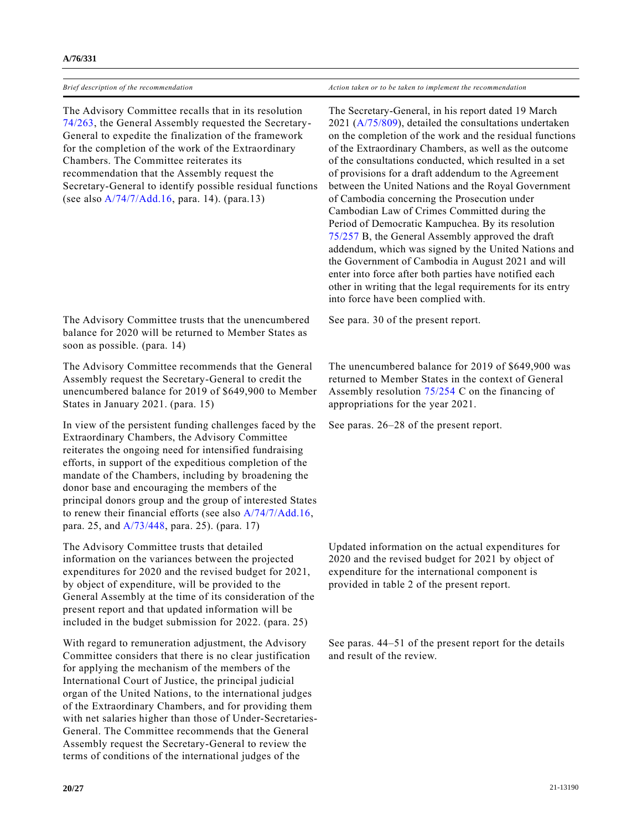| Brief description of the recommendation | Action taken or to be taken to implement the recommendation |
|-----------------------------------------|-------------------------------------------------------------|

The Advisory Committee recalls that in its resolution [74/263,](https://undocs.org/en/A/RES/74/263) the General Assembly requested the Secretary-General to expedite the finalization of the framework for the completion of the work of the Extraordinary Chambers. The Committee reiterates its recommendation that the Assembly request the Secretary-General to identify possible residual functions (see als[o A/74/7/Add.16,](https://undocs.org/en/A/74/7/Add.16) para. 14). (para.13)

The Advisory Committee trusts that the unencumbered balance for 2020 will be returned to Member States as soon as possible. (para. 14)

The Advisory Committee recommends that the General Assembly request the Secretary-General to credit the unencumbered balance for 2019 of \$649,900 to Member States in January 2021. (para. 15)

In view of the persistent funding challenges faced by the Extraordinary Chambers, the Advisory Committee reiterates the ongoing need for intensified fundraising efforts, in support of the expeditious completion of the mandate of the Chambers, including by broadening the donor base and encouraging the members of the principal donors group and the group of interested States to renew their financial efforts (see also [A/74/7/Add.16,](https://undocs.org/en/A/74/7/Add.16) para. 25, and [A/73/448,](https://undocs.org/en/A/73/448) para. 25). (para. 17)

The Advisory Committee trusts that detailed information on the variances between the projected expenditures for 2020 and the revised budget for 2021, by object of expenditure, will be provided to the General Assembly at the time of its consideration of the present report and that updated information will be included in the budget submission for 2022. (para. 25)

With regard to remuneration adjustment, the Advisory Committee considers that there is no clear justification for applying the mechanism of the members of the International Court of Justice, the principal judicial organ of the United Nations, to the international judges of the Extraordinary Chambers, and for providing them with net salaries higher than those of Under-Secretaries-General. The Committee recommends that the General Assembly request the Secretary-General to review the terms of conditions of the international judges of the

The Secretary-General, in his report dated 19 March 2021 [\(A/75/809\)](https://undocs.org/en/A/75/809), detailed the consultations undertaken on the completion of the work and the residual functions of the Extraordinary Chambers, as well as the outcome of the consultations conducted, which resulted in a set of provisions for a draft addendum to the Agreement between the United Nations and the Royal Government of Cambodia concerning the Prosecution under Cambodian Law of Crimes Committed during the Period of Democratic Kampuchea. By its resolution [75/257](https://undocs.org/en/A/RES/75/257b) B, the General Assembly approved the draft addendum, which was signed by the United Nations and the Government of Cambodia in August 2021 and will enter into force after both parties have notified each other in writing that the legal requirements for its entry into force have been complied with.

See para. 30 of the present report.

The unencumbered balance for 2019 of \$649,900 was returned to Member States in the context of General Assembly resolution [75/254](https://undocs.org/en/A/RES/75/254a-c) C on the financing of appropriations for the year 2021.

See paras. 26–28 of the present report.

Updated information on the actual expenditures for 2020 and the revised budget for 2021 by object of expenditure for the international component is provided in table 2 of the present report.

See paras. 44–51 of the present report for the details and result of the review.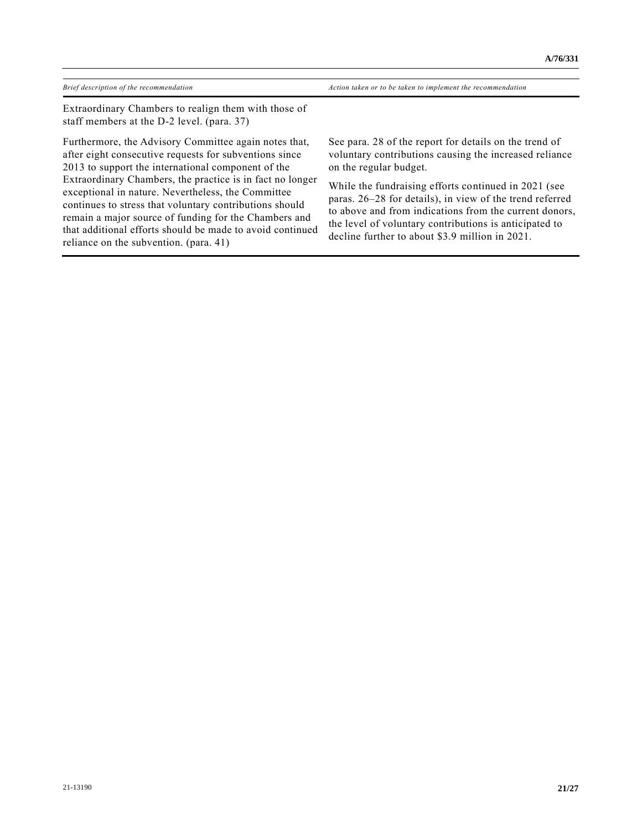*Brief description of the recommendation Action taken or to be taken to implement the recommendation*

Extraordinary Chambers to realign them with those of staff members at the D-2 level. (para. 37)

Furthermore, the Advisory Committee again notes that, after eight consecutive requests for subventions since 2013 to support the international component of the Extraordinary Chambers, the practice is in fact no longer exceptional in nature. Nevertheless, the Committee continues to stress that voluntary contributions should remain a major source of funding for the Chambers and that additional efforts should be made to avoid continued reliance on the subvention. (para. 41)

See para. 28 of the report for details on the trend of voluntary contributions causing the increased reliance on the regular budget.

While the fundraising efforts continued in 2021 (see paras. 26–28 for details), in view of the trend referred to above and from indications from the current donors, the level of voluntary contributions is anticipated to decline further to about \$3.9 million in 2021.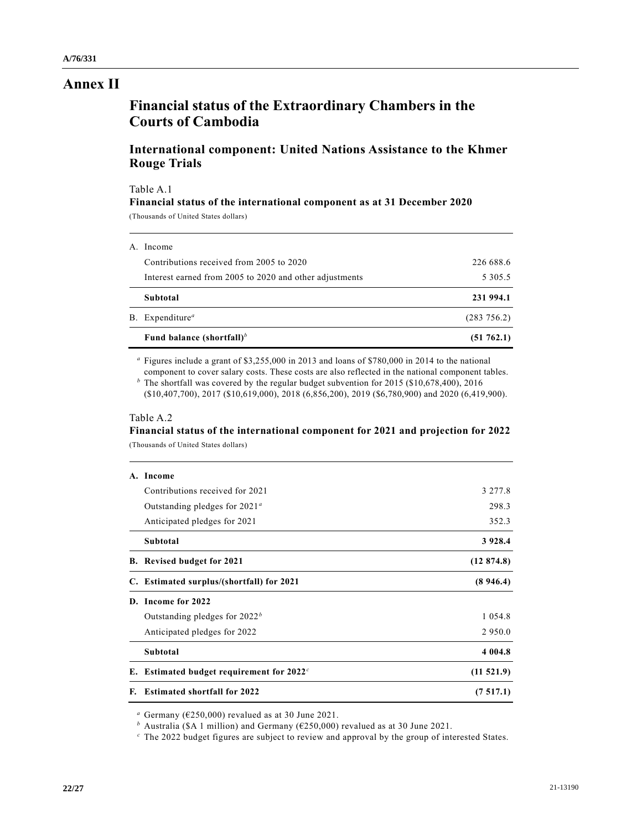## **Annex II**

# **Financial status of the Extraordinary Chambers in the Courts of Cambodia**

## **International component: United Nations Assistance to the Khmer Rouge Trials**

#### Table A.1

### **Financial status of the international component as at 31 December 2020**

(Thousands of United States dollars)

| Fund balance (shortfall) <sup>b</sup>                   | (51762.1)   |
|---------------------------------------------------------|-------------|
| B. Expenditure <sup>a</sup>                             | (283 756.2) |
| Subtotal                                                | 231 994.1   |
| Interest earned from 2005 to 2020 and other adjustments | 5 3 0 5 .5  |
| Contributions received from 2005 to 2020                | 226 688.6   |
| A. Income                                               |             |

*<sup>a</sup>* Figures include a grant of \$3,255,000 in 2013 and loans of \$780,000 in 2014 to the national component to cover salary costs. These costs are also reflected in the national component tables.

*<sup>b</sup>* The shortfall was covered by the regular budget subvention for 2015 (\$10,678,400), 2016 (\$10,407,700), 2017 (\$10,619,000), 2018 (6,856,200), 2019 (\$6,780,900) and 2020 (6,419,900).

### Table A.2

### **Financial status of the international component for 2021 and projection for 2022** (Thousands of United States dollars)

|    | A. Income                                   |            |
|----|---------------------------------------------|------------|
|    | Contributions received for 2021             | 3 277.8    |
|    | Outstanding pledges for $2021^{\circ}$      | 298.3      |
|    | Anticipated pledges for 2021                | 352.3      |
|    | Subtotal                                    | 3 9 28.4   |
|    | <b>B.</b> Revised budget for 2021           | (12874.8)  |
|    | C. Estimated surplus/(shortfall) for 2021   | (8946.4)   |
|    | D. Income for 2022                          |            |
|    | Outstanding pledges for $2022b$             | 1 0 5 4 .8 |
|    | Anticipated pledges for 2022                | 2 9 5 0 .0 |
|    | Subtotal                                    | 4 0 0 4.8  |
|    | E. Estimated budget requirement for $2022c$ | (11521.9)  |
| F. | <b>Estimated shortfall for 2022</b>         | (7517.1)   |

*<sup>a</sup>* Germany (€250,000) revalued as at 30 June 2021.

*<sup>b</sup>* Australia (\$A 1 million) and Germany (€250,000) revalued as at 30 June 2021.

*<sup>c</sup>* The 2022 budget figures are subject to review and approval by the group of interested States.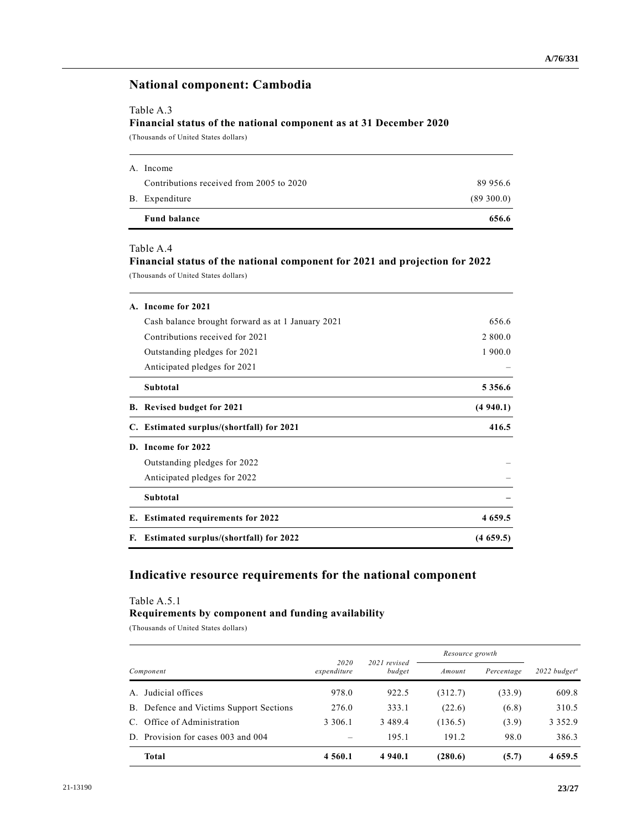### **National component: Cambodia**

### Table A.3

### **Financial status of the national component as at 31 December 2020**

(Thousands of United States dollars)

| <b>Fund balance</b>                      | 656.6     |
|------------------------------------------|-----------|
| B. Expenditure                           | (89300.0) |
| Contributions received from 2005 to 2020 | 89 956.6  |
| A. Income                                |           |

#### Table A.4

**Financial status of the national component for 2021 and projection for 2022** (Thousands of United States dollars)

|    | A. Income for 2021                                |             |
|----|---------------------------------------------------|-------------|
|    | Cash balance brought forward as at 1 January 2021 | 656.6       |
|    | Contributions received for 2021                   | 2 800.0     |
|    | Outstanding pledges for 2021                      | 1 900.0     |
|    | Anticipated pledges for 2021                      |             |
|    | Subtotal                                          | 5 3 5 6 . 6 |
|    | B. Revised budget for 2021                        | (4940.1)    |
|    | C. Estimated surplus/(shortfall) for 2021         | 416.5       |
| D. | Income for 2022                                   |             |
|    | Outstanding pledges for 2022                      |             |
|    | Anticipated pledges for 2022                      |             |
|    | Subtotal                                          |             |
|    | E. Estimated requirements for 2022                | 4 659.5     |
| F. | <b>Estimated surplus/(shortfall) for 2022</b>     | (4659.5)    |

## **Indicative resource requirements for the national component**

#### Table A.5.1

#### **Requirements by component and funding availability**

(Thousands of United States dollars)

|           |                                         |                     |                        | Resource growth |            |                                   |  |
|-----------|-----------------------------------------|---------------------|------------------------|-----------------|------------|-----------------------------------|--|
| Component |                                         | 2020<br>expenditure | 2021 revised<br>budget | Amount          | Percentage | $2022$ budget <sup><i>a</i></sup> |  |
| A.        | Judicial offices                        | 978.0               | 922.5                  | (312.7)         | (33.9)     | 609.8                             |  |
|           | B. Defence and Victims Support Sections | 276.0               | 333.1                  | (22.6)          | (6.8)      | 310.5                             |  |
|           | C. Office of Administration             | 3 3 0 6 .1          | 3489.4                 | (136.5)         | (3.9)      | 3 3 5 2 . 9                       |  |
|           | D. Provision for cases 003 and 004      |                     | 195.1                  | 191.2           | 98.0       | 386.3                             |  |
|           | <b>Total</b>                            | 4 5 6 0 .1          | 4 940.1                | (280.6)         | (5.7)      | 4 6 5 9 . 5                       |  |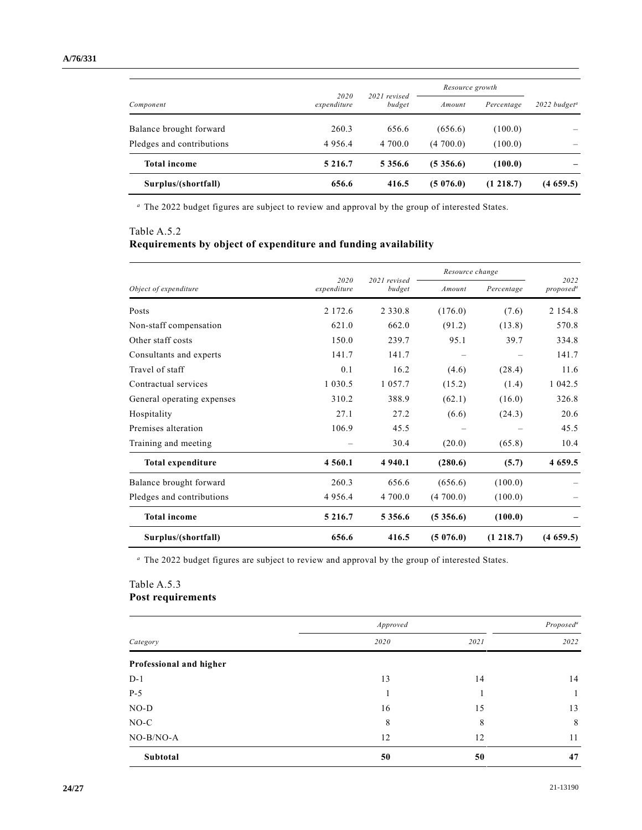|                           | 2020<br>expenditure | 2021 revised<br>budget | Resource growth |            |                                   |  |
|---------------------------|---------------------|------------------------|-----------------|------------|-----------------------------------|--|
| Component                 |                     |                        | Amount          | Percentage | $2022$ budget <sup><i>a</i></sup> |  |
| Balance brought forward   | 260.3               | 656.6                  | (656.6)         | (100.0)    |                                   |  |
| Pledges and contributions | 4 9 5 6 . 4         | 4 700.0                | (4700.0)        | (100.0)    |                                   |  |
| <b>Total income</b>       | 5 2 1 6 .7          | 5 3 5 6 . 6            | (5, 356.6)      | (100.0)    |                                   |  |
| Surplus/(shortfall)       | 656.6               | 416.5                  | (5076.0)        | (1 218.7)  | (4659.5)                          |  |

*<sup>a</sup>* The 2022 budget figures are subject to review and approval by the group of interested States.

## Table A.5.2 **Requirements by object of expenditure and funding availability**

|                            | 2020        |                        | Resource change | 2022       |                       |
|----------------------------|-------------|------------------------|-----------------|------------|-----------------------|
| Object of expenditure      | expenditure | 2021 revised<br>budget | Amount          | Percentage | proposed <sup>a</sup> |
| Posts                      | 2 172.6     | 2 3 3 0 . 8            | (176.0)         | (7.6)      | 2 1 5 4 .8            |
| Non-staff compensation     | 621.0       | 662.0                  | (91.2)          | (13.8)     | 570.8                 |
| Other staff costs          | 150.0       | 239.7                  | 95.1            | 39.7       | 334.8                 |
| Consultants and experts    | 141.7       | 141.7                  |                 |            | 141.7                 |
| Travel of staff            | 0.1         | 16.2                   | (4.6)           | (28.4)     | 11.6                  |
| Contractual services       | 1 0 3 0 .5  | 1 0 5 7 . 7            | (15.2)          | (1.4)      | 1 042.5               |
| General operating expenses | 310.2       | 388.9                  | (62.1)          | (16.0)     | 326.8                 |
| Hospitality                | 27.1        | 27.2                   | (6.6)           | (24.3)     | 20.6                  |
| Premises alteration        | 106.9       | 45.5                   |                 |            | 45.5                  |
| Training and meeting       |             | 30.4                   | (20.0)          | (65.8)     | 10.4                  |
| Total expenditure          | 4 5 6 0 . 1 | 4 9 4 0 .1             | (280.6)         | (5.7)      | 4 659.5               |
| Balance brought forward    | 260.3       | 656.6                  | (656.6)         | (100.0)    |                       |
| Pledges and contributions  | 4 9 5 6.4   | 4 700.0                | (4700.0)        | (100.0)    |                       |
| <b>Total income</b>        | 5 2 1 6 .7  | 5 3 5 6 . 6            | (5, 356.6)      | (100.0)    |                       |
| Surplus/(shortfall)        | 656.6       | 416.5                  | (5076.0)        | (1 218.7)  | (4659.5)              |

*<sup>a</sup>* The 2022 budget figures are subject to review and approval by the group of interested States.

### Table A.5.3 **Post requirements**

|                         | Approved |      |      |  |  |
|-------------------------|----------|------|------|--|--|
| Category                | 2020     | 2021 | 2022 |  |  |
| Professional and higher |          |      |      |  |  |
| $D-1$                   | 13       | 14   | 14   |  |  |
| $P-5$                   |          |      |      |  |  |
| $NO-D$                  | 16       | 15   | 13   |  |  |
| $NO-C$                  | 8        | 8    | 8    |  |  |
| NO-B/NO-A               | 12       | 12   | 11   |  |  |
| Subtotal                | 50       | 50   | 47   |  |  |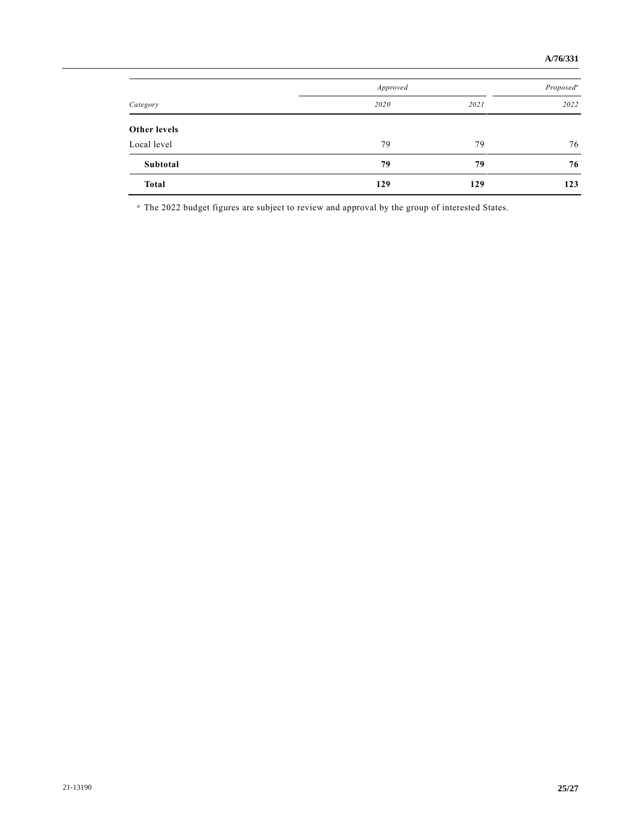|                     | Approved |      |      |  |  |
|---------------------|----------|------|------|--|--|
| Category            | 2020     | 2021 | 2022 |  |  |
| <b>Other levels</b> |          |      |      |  |  |
| Local level         | 79       | 79   | 76   |  |  |
| Subtotal            | 79       | 79   | 76   |  |  |
| <b>Total</b>        | 129      | 129  | 123  |  |  |

*<sup>a</sup>* The 2022 budget figures are subject to review and approval by the group of interested States.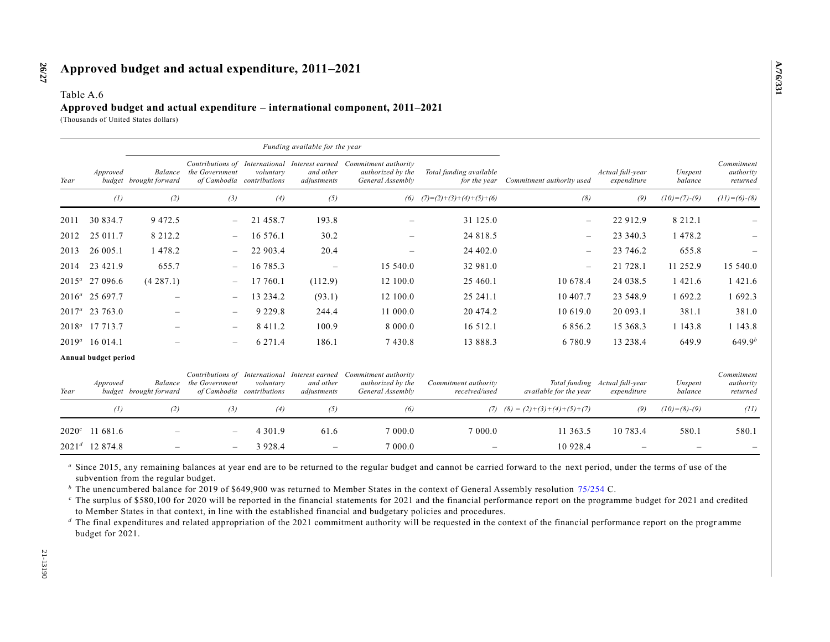#### Table A.6

### **Approved budget and actual expenditure – international component, 2011–2021**

(Thousands of United States dollars)

|          |                      | Funding available for the year    |                          |                                        |                          |                                                                                                              |                                         |                                   |                                               |                    |                                     |
|----------|----------------------|-----------------------------------|--------------------------|----------------------------------------|--------------------------|--------------------------------------------------------------------------------------------------------------|-----------------------------------------|-----------------------------------|-----------------------------------------------|--------------------|-------------------------------------|
| Year     | Approved             | Balance<br>budget brought forward | the Government           | voluntary<br>of Cambodia contributions | and other<br>adjustments | Contributions of International Interest earned Commitment authority<br>authorized by the<br>General Assembly | Total funding available<br>for the vear | Commitment authority used         | Actual full-year<br>expenditure               | Unspent<br>balance | Commitment<br>authority<br>returned |
|          | (1)                  | (2)                               | (3)                      | (4)                                    | (5)                      |                                                                                                              | (6) $(7)=(2)+(3)+(4)+(5)+(6)$           | (8)                               | (9)                                           | $(10)= (7)-(9)$    | $(11)=(6)-(8)$                      |
| 2011     | 30 834.7             | 9 4 7 2.5                         | $-$                      | 21 458.7                               | 193.8                    |                                                                                                              | 31 125.0                                | $\overline{\phantom{0}}$          | 22 912.9                                      | 8 2 1 2 . 1        |                                     |
| 2012     | 25 011.7             | 8 2 1 2 . 2                       | $\overline{\phantom{m}}$ | 16 576.1                               | 30.2                     |                                                                                                              | 24 818.5                                | $\overline{\phantom{m}}$          | 23 340.3                                      | 1 478.2            |                                     |
| 2013     | 26 005.1             | 1478.2                            |                          | 22 903.4                               | 20.4                     | $\equiv$                                                                                                     | 24 402.0                                | $\overline{\phantom{m}}$          | 23 746.2                                      | 655.8              |                                     |
| 2014     | 23 421.9             | 655.7                             |                          | 16 785.3                               | $\overline{\phantom{a}}$ | 15 540.0                                                                                                     | 32 981.0                                | $\overline{\phantom{m}}$          | 21 728.1                                      | 11 252.9           | 15 540.0                            |
| $2015^a$ | 27 096.6             | (4287.1)                          | $\overline{\phantom{m}}$ | 17 760.1                               | (112.9)                  | 12 100.0                                                                                                     | 25 460.1                                | 10 678.4                          | 24 038.5                                      | 1 4 2 1 .6         | 1 4 2 1 .6                          |
| $2016^a$ | 25 697.7             |                                   |                          | 13 234.2                               | (93.1)                   | 12 100.0                                                                                                     | 25 241.1                                | 10 407.7                          | 23 548.9                                      | 1 692.2            | 1 692.3                             |
| $2017^a$ | 23 763.0             |                                   |                          | 9 2 2 9 . 8                            | 244.4                    | 11 000.0                                                                                                     | 20 474.2                                | 10 619.0                          | 20 093.1                                      | 381.1              | 381.0                               |
| $2018^a$ | 17 7 13.7            |                                   |                          | 8 4 1 1 . 2                            | 100.9                    | 8 000.0                                                                                                      | 16 512.1                                | 6 8 5 6 . 2                       | 15 368.3                                      | 1 143.8            | 1 1 4 3 . 8                         |
|          | $2019^a$ 16 014.1    |                                   | $\overline{\phantom{0}}$ | 6 271.4                                | 186.1                    | 7430.8                                                                                                       | 13 888.3                                | 6 780.9                           | 13 238.4                                      | 649.9              | $649.9^{b}$                         |
|          | Annual budget period |                                   |                          |                                        |                          |                                                                                                              |                                         |                                   |                                               |                    |                                     |
| Year     | Approved             | Balance<br>budget brought forward | the Government           | voluntary<br>of Cambodia contributions | and other<br>adjustments | Contributions of International Interest earned Commitment authority<br>authorized by the<br>General Assembly | Commitment authority<br>received/used   | <i>available for the year</i>     | Total funding Actual full-year<br>expenditure | Unspent<br>balance | Commitment<br>authority<br>returned |
|          | (1)                  | (2)                               | (3)                      | (4)                                    | (5)                      | (6)                                                                                                          |                                         | $(7)$ $(8) = (2)+(3)+(4)+(5)+(7)$ | (9)                                           | $(10)=(8)-(9)$     | (11)                                |
| $2020^c$ | 11 681.6             |                                   |                          | 4 3 0 1 .9                             | 61.6                     | 7 000.0                                                                                                      | 7 000.0                                 | 11 363.5                          | 10 783.4                                      | 580.1              | 580.1                               |
| $2021^d$ | 12 874.8             |                                   |                          | 3 9 2 8 . 4                            |                          | 7 000.0                                                                                                      |                                         | 10 928.4                          |                                               |                    |                                     |

<sup>a</sup> Since 2015, any remaining balances at year end are to be returned to the regular budget and cannot be carried forward to the next period, under the terms of use of the subvention from the regular budget.

*<sup>b</sup>* The unencumbered balance for 2019 of \$649,900 was returned to Member States in the context of General Assembly resolution [75/254](https://undocs.org/en/A/RES/75/254a-c) C.

 $c$  The surplus of \$580,100 for 2020 will be reported in the financial statements for 2021 and the financial performance report on the programme budget for 2021 and credited to Member States in that context, in line with the established financial and budgetary policies and procedures.

<sup>*d*</sup> The final expenditures and related appropriation of the 2021 commitment authority will be requested in the context of the financial performance report on the progr amme budget for 2021.